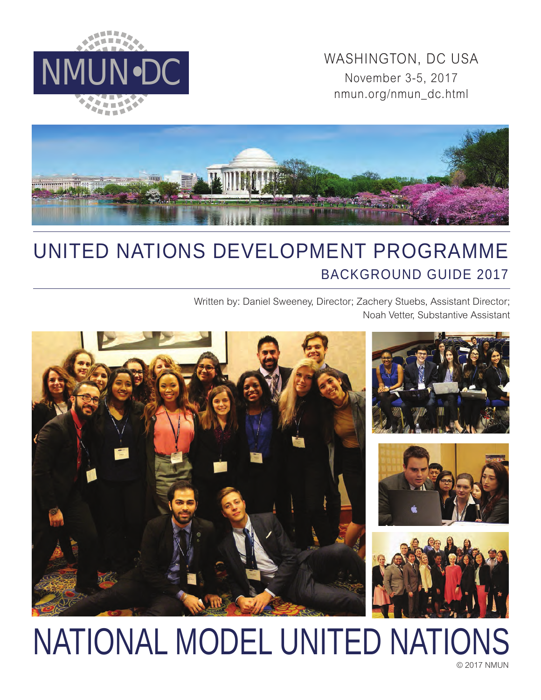

WASHINGTON, DC USA<br>November 3-5, 2017 November 3-5, 2017 nmun.org/nmun\_dc.html



# UNITED NATIONS DEVELOPMENT PROGRAMME BACKGROUND GUIDE 2017

Written by: Daniel Sweeney, Director; Zachery Stuebs, Assistant Director; Noah Vetter, Substantive Assistant



# NATIONAL MODEL UNITED NATIONS

© 2017 NMUN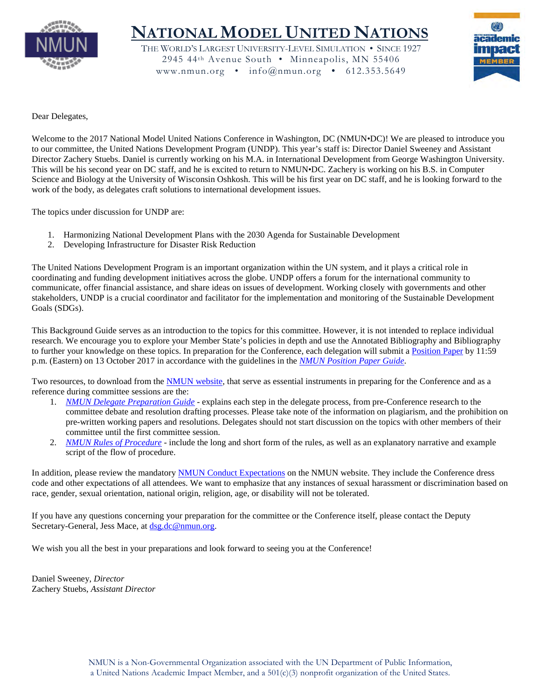

# **NATIONAL MODEL UNITED NATIONS**

THE WORLD'S LARGEST UNIVERSITY-LEVEL SIMULATION • SINCE 1927 2945 44th Avenue South • Minneapolis, MN 55406 www.nmun.org • info@nmun.org • 612.353.5649



Dear Delegates,

Welcome to the 2017 National Model United Nations Conference in Washington, DC (NMUN•DC)! We are pleased to introduce you to our committee, the United Nations Development Program (UNDP). This year's staff is: Director Daniel Sweeney and Assistant Director Zachery Stuebs. Daniel is currently working on his M.A. in International Development from George Washington University. This will be his second year on DC staff, and he is excited to return to NMUN•DC. Zachery is working on his B.S. in Computer Science and Biology at the University of Wisconsin Oshkosh. This will be his first year on DC staff, and he is looking forward to the work of the body, as delegates craft solutions to international development issues.

The topics under discussion for UNDP are:

- 1. Harmonizing National Development Plans with the 2030 Agenda for Sustainable Development
- 2. Developing Infrastructure for Disaster Risk Reduction

The United Nations Development Program is an important organization within the UN system, and it plays a critical role in coordinating and funding development initiatives across the globe. UNDP offers a forum for the international community to communicate, offer financial assistance, and share ideas on issues of development. Working closely with governments and other stakeholders, UNDP is a crucial coordinator and facilitator for the implementation and monitoring of the Sustainable Development Goals (SDGs).

This Background Guide serves as an introduction to the topics for this committee. However, it is not intended to replace individual research. We encourage you to explore your Member State's policies in depth and use the Annotated Bibliography and Bibliography to further your knowledge on these topics. In preparation for the Conference, each delegation will submit a [Position Paper](http://nmun.org/dc_position_papers.html) by 11:59 p.m. (Eastern) on 13 October 2017 in accordance with the guidelines in the *[NMUN Position Paper Guide](http://nmun.org/downloads/NMUNPPGuide.pdf)*.

Two resources, to download from the [NMUN website,](http://nmun.org/dc_preparations.html) that serve as essential instruments in preparing for the Conference and as a reference during committee sessions are the:

- 1. *[NMUN Delegate Preparation Guide](http://nmun.org/downloads/NMUNDelegatePrepGuide.pdf)* explains each step in the delegate process, from pre-Conference research to the committee debate and resolution drafting processes. Please take note of the information on plagiarism, and the prohibition on pre-written working papers and resolutions. Delegates should not start discussion on the topics with other members of their committee until the first committee session.
- 2. *[NMUN Rules of Procedure](http://nmun.org/downloads/NMUNRules.pdf)* include the long and short form of the rules, as well as an explanatory narrative and example script of the flow of procedure.

In addition, please review the mandatory [NMUN Conduct](http://nmun.org/policies_codes.html) Expectations on the NMUN website. They include the Conference dress code and other expectations of all attendees. We want to emphasize that any instances of sexual harassment or discrimination based on race, gender, sexual orientation, national origin, religion, age, or disability will not be tolerated.

If you have any questions concerning your preparation for the committee or the Conference itself, please contact the Deputy Secretary-General, Jess Mace, at [dsg.dc@nmun.org.](mailto:dsg.dc@nmun.org)

We wish you all the best in your preparations and look forward to seeing you at the Conference!

Daniel Sweeney, *Director* Zachery Stuebs, *Assistant Director*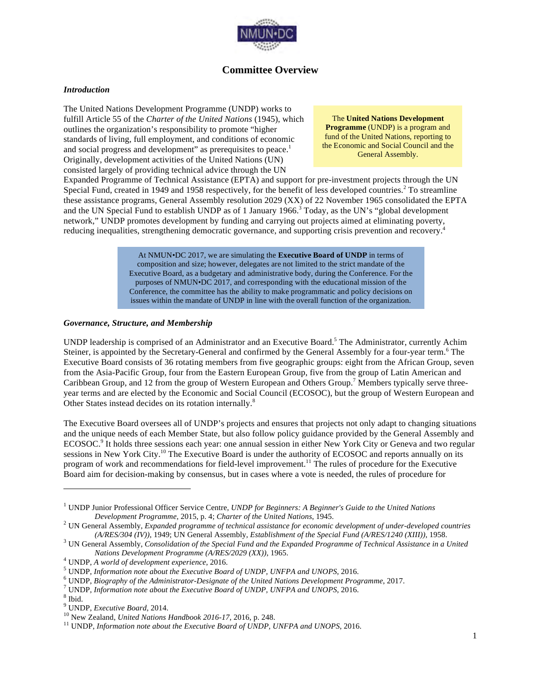

# **Committee Overview**

#### *Introduction*

The United Nations Development Programme (UNDP) works to fulfill Article 55 of the *Charter of the United Nations* (1945), which outlines the organization's responsibility to promote "higher standards of living, full employment, and conditions of economic and social progress and development" as prerequisites to peace.<sup>1</sup> Originally, development activities of the United Nations (UN) consisted largely of providing technical advice through the UN

The **United Nations Development Programme** (UNDP) is a program and fund of the United Nations, reporting to the Economic and Social Council and the General Assembly.

Expanded Programme of Technical Assistance (EPTA) and support for pre-investment projects through the UN Special Fund, created in 1949 and 1958 respectively, for the benefit of less developed countries.<sup>2</sup> To streamline these assistance programs, General Assembly resolution 2029 (XX) of 22 November 1965 consolidated the EPTA and the UN Special Fund to establish UNDP as of 1 January 1966.<sup>3</sup> Today, as the UN's "global development network," UNDP promotes development by funding and carrying out projects aimed at eliminating poverty, reducing inequalities, strengthening democratic governance, and supporting crisis prevention and recovery.4

> At NMUN•DC 2017, we are simulating the **Executive Board of UNDP** in terms of composition and size; however, delegates are not limited to the strict mandate of the Executive Board, as a budgetary and administrative body, during the Conference. For the purposes of NMUN•DC 2017, and corresponding with the educational mission of the Conference, the committee has the ability to make programmatic and policy decisions on issues within the mandate of UNDP in line with the overall function of the organization.

#### *Governance, Structure, and Membership*

UNDP leadership is comprised of an Administrator and an Executive Board.<sup>5</sup> The Administrator, currently Achim Steiner, is appointed by the Secretary-General and confirmed by the General Assembly for a four-year term.<sup>6</sup> The Executive Board consists of 36 rotating members from five geographic groups: eight from the African Group, seven from the Asia-Pacific Group, four from the Eastern European Group, five from the group of Latin American and Caribbean Group, and 12 from the group of Western European and Others Group.<sup>7</sup> Members typically serve threeyear terms and are elected by the Economic and Social Council (ECOSOC), but the group of Western European and Other States instead decides on its rotation internally.<sup>8</sup>

The Executive Board oversees all of UNDP's projects and ensures that projects not only adapt to changing situations and the unique needs of each Member State, but also follow policy guidance provided by the General Assembly and ECOSOC.<sup>9</sup> It holds three sessions each year: one annual session in either New York City or Geneva and two regular sessions in New York City.<sup>10</sup> The Executive Board is under the authority of ECOSOC and reports annually on its program of work and recommendations for field-level improvement.<sup>11</sup> The rules of procedure for the Executive Board aim for decision-making by consensus, but in cases where a vote is needed, the rules of procedure for

<sup>1</sup> UNDP Junior Professional Officer Service Centre, *UNDP for Beginners: A Beginner's Guide to the United Nations Development Programme*, 2015, p. 4; *Charter of the United Nations*, 1945. <sup>2</sup> UN General Assembly, *Expanded programme of technical assistance for economic development of under-developed countries* 

 $(A/RES/304 (IV))$ , 1949; UN General Assembly, *Establishment of the Special Fund*  $(A/RES/1240 (XIII))$ , 1958.<br><sup>3</sup> UN General Assembly, *Consolidation of the Special Fund and the Expanded Programme of Technical Assistance in a United* 

Nations Development Programme (A/RES/2029 (XX)), 1965.<br>
<sup>4</sup> UNDP, A world of development experience, 2016.<br>
<sup>5</sup> UNDP, Information note about the Executive Board of UNDP, UNFPA and UNOPS, 2016.<br>
<sup>6</sup> UNDP, Biography of the A

<sup>&</sup>lt;sup>10</sup> New Zealand, *United Nations Handbook 2016-17*, 2016, p. 248. <sup>11</sup> UNDP, *Information note about the Executive Board of UNDP, UNFPA and UNOPS*, 2016.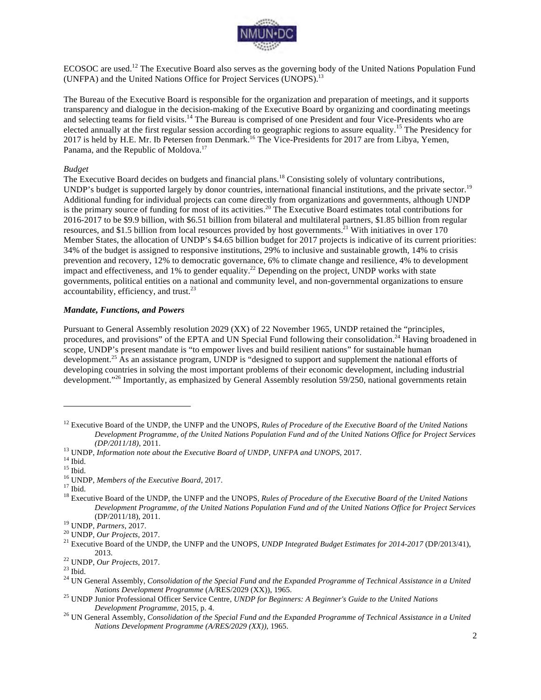

ECOSOC are used.<sup>12</sup> The Executive Board also serves as the governing body of the United Nations Population Fund (UNFPA) and the United Nations Office for Project Services (UNOPS).13

The Bureau of the Executive Board is responsible for the organization and preparation of meetings, and it supports transparency and dialogue in the decision-making of the Executive Board by organizing and coordinating meetings and selecting teams for field visits.<sup>14</sup> The Bureau is comprised of one President and four Vice-Presidents who are elected annually at the first regular session according to geographic regions to assure equality.<sup>15</sup> The Presidency for 2017 is held by H.E. Mr. Ib Petersen from Denmark.<sup>16</sup> The Vice-Presidents for 2017 are from Libya, Yemen, Panama, and the Republic of Moldova.<sup>17</sup>

#### *Budget*

The Executive Board decides on budgets and financial plans.<sup>18</sup> Consisting solely of voluntary contributions, UNDP's budget is supported largely by donor countries, international financial institutions, and the private sector.<sup>19</sup> Additional funding for individual projects can come directly from organizations and governments, although UNDP is the primary source of funding for most of its activities.<sup>20</sup> The Executive Board estimates total contributions for 2016-2017 to be \$9.9 billion, with \$6.51 billion from bilateral and multilateral partners, \$1.85 billion from regular resources, and \$1.5 billion from local resources provided by host governments.<sup>21</sup> With initiatives in over 170 Member States, the allocation of UNDP's \$4.65 billion budget for 2017 projects is indicative of its current priorities: 34% of the budget is assigned to responsive institutions, 29% to inclusive and sustainable growth, 14% to crisis prevention and recovery, 12% to democratic governance, 6% to climate change and resilience, 4% to development impact and effectiveness, and 1% to gender equality.<sup>22</sup> Depending on the project, UNDP works with state governments, political entities on a national and community level, and non-governmental organizations to ensure accountability, efficiency, and trust.<sup>23</sup>

#### *Mandate, Functions, and Powers*

Pursuant to General Assembly resolution 2029 (XX) of 22 November 1965, UNDP retained the "principles, procedures, and provisions" of the EPTA and UN Special Fund following their consolidation.<sup>24</sup> Having broadened in scope, UNDP's present mandate is "to empower lives and build resilient nations" for sustainable human development.<sup>25</sup> As an assistance program, UNDP is "designed to support and supplement the national efforts of developing countries in solving the most important problems of their economic development, including industrial development."<sup>26</sup> Importantly, as emphasized by General Assembly resolution 59/250, national governments retain

<sup>&</sup>lt;sup>12</sup> Executive Board of the UNDP, the UNFP and the UNOPS, *Rules of Procedure of the Executive Board of the United Nations Development Programme, of the United Nations Population Fund and of the United Nations Office for Project Services* 

<sup>(</sup>*DP/2011/18*), 2011.<br><sup>13</sup> UNDP, *Information note about the Executive Board of UNDP*, *UNFPA and UNOPS*, 2017.<br><sup>14</sup> Ibid.<br><sup>15</sup> UNDP, *Members of the Executive Board*, 2017.<br><sup>17</sup> Ibid.<br><sup>18</sup> Executive Board of the UNDP, th *Development Programme, of the United Nations Population Fund and of the United Nations Office for Project Services*  (DP/2011/18), 2011. <sup>19</sup> UNDP, *Partners*, 2017. <sup>20</sup> UNDP, *Our Projects*, 2017. <sup>21</sup> Executive Board of the UNDP, the UNFP and the UNOPS, *UNDP Integrated Budget Estimates for 2014-2017* (DP/2013/41),

<sup>2013.&</sup>lt;br><sup>22</sup> UNDP, *Our Projects*, 2017.<br><sup>23</sup> Ibid. 24 UN General Assembly, *Consolidation of the Special Fund and the Expanded Programme of Technical Assistance in a United <sup>24</sup>* 

*Nations Development Programme (A/RES/2029 (XX)), 1965.* 25 UNDP Junior Professional Officer Service Centre, *UNDP for Beginners: A Beginner's Guide to the United Nations* 

*Development Programme*, 2015, p. 4. <sup>26</sup> UN General Assembly, *Consolidation of the Special Fund and the Expanded Programme of Technical Assistance in a United Nations Development Programme (A/RES/2029 (XX))*, 1965.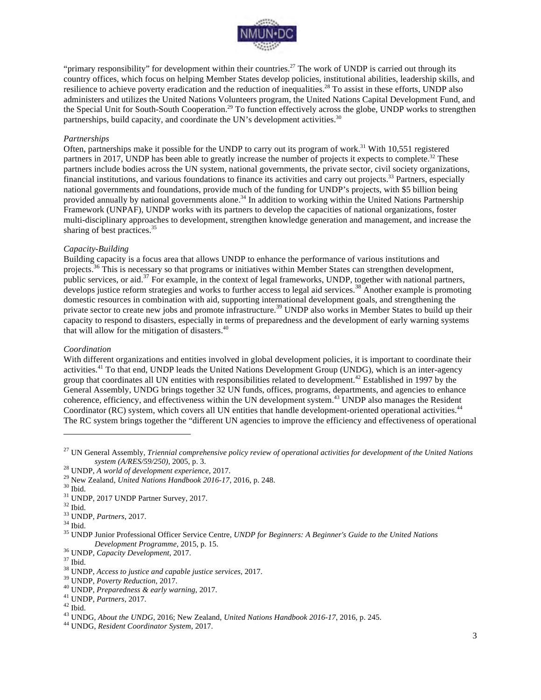

"primary responsibility" for development within their countries.<sup>27</sup> The work of UNDP is carried out through its country offices, which focus on helping Member States develop policies, institutional abilities, leadership skills, and resilience to achieve poverty eradication and the reduction of inequalities.28 To assist in these efforts, UNDP also administers and utilizes the United Nations Volunteers program, the United Nations Capital Development Fund, and the Special Unit for South-South Cooperation.<sup>29</sup> To function effectively across the globe, UNDP works to strengthen partnerships, build capacity, and coordinate the UN's development activities.<sup>30</sup>

#### *Partnerships*

Often, partnerships make it possible for the UNDP to carry out its program of work.<sup>31</sup> With 10,551 registered partners in 2017, UNDP has been able to greatly increase the number of projects it expects to complete.<sup>32</sup> These partners include bodies across the UN system, national governments, the private sector, civil society organizations, financial institutions, and various foundations to finance its activities and carry out projects.33 Partners, especially national governments and foundations, provide much of the funding for UNDP's projects, with \$5 billion being provided annually by national governments alone.<sup>34</sup> In addition to working within the United Nations Partnership Framework (UNPAF), UNDP works with its partners to develop the capacities of national organizations, foster multi-disciplinary approaches to development, strengthen knowledge generation and management, and increase the sharing of best practices.<sup>35</sup>

#### *Capacity-Building*

Building capacity is a focus area that allows UNDP to enhance the performance of various institutions and projects.<sup>36</sup> This is necessary so that programs or initiatives within Member States can strengthen development, public services, or aid.<sup>37</sup> For example, in the context of legal frameworks, UNDP, together with national partners, develops justice reform strategies and works to further access to legal aid services.<sup>38</sup> Another example is promoting domestic resources in combination with aid, supporting international development goals, and strengthening the private sector to create new jobs and promote infrastructure.<sup>39</sup> UNDP also works in Member States to build up their capacity to respond to disasters, especially in terms of preparedness and the development of early warning systems that will allow for the mitigation of disasters.<sup>40</sup>

#### *Coordination*

With different organizations and entities involved in global development policies, it is important to coordinate their activities.<sup>41</sup> To that end, UNDP leads the United Nations Development Group (UNDG), which is an inter-agency group that coordinates all UN entities with responsibilities related to development.<sup>42</sup> Established in 1997 by the General Assembly, UNDG brings together 32 UN funds, offices, programs, departments, and agencies to enhance coherence, efficiency, and effectiveness within the UN development system.<sup>43</sup> UNDP also manages the Resident Coordinator (RC) system, which covers all UN entities that handle development-oriented operational activities.<sup>44</sup> The RC system brings together the "different UN agencies to improve the efficiency and effectiveness of operational

<sup>27</sup> UN General Assembly, *Triennial comprehensive policy review of operational activities for development of the United Nations* 

<sup>&</sup>lt;sup>28</sup> UNDP, *A world of development experience*, 2017.<br>
<sup>29</sup> New Zealand, *United Nations Handbook 2016-17*, 2016, p. 248.<br>
<sup>30</sup> Ibid.<br>
<sup>31</sup> UNDP, 2017 UNDP Partner Survey, 2017.<br>
<sup>32</sup> Ibid.<br>
<sup>33</sup> UNDP, *Partners*, 2017.<br>

<sup>&</sup>lt;sup>36</sup> UNDP, *Capacity Development*, 2017.<br><sup>37</sup> Ibid.<br><sup>38</sup> UNDP, *Access to justice and capable justice services*, 2017.<br><sup>39</sup> UNDP, *Poverty Reduction*, 2017.<br><sup>40</sup> UNDP, *Preparedness & early warning*, 2017.<br><sup>41</sup> UNDP, *Par*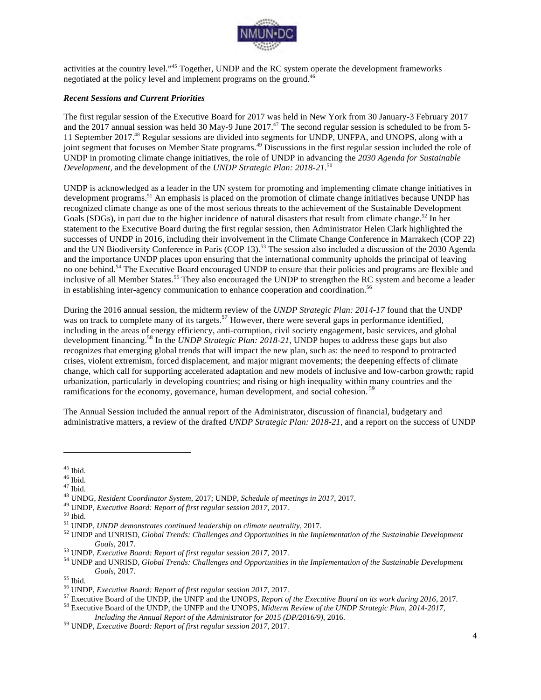

activities at the country level."<sup>45</sup> Together, UNDP and the RC system operate the development frameworks negotiated at the policy level and implement programs on the ground.<sup>46</sup>

#### *Recent Sessions and Current Priorities*

The first regular session of the Executive Board for 2017 was held in New York from 30 January-3 February 2017 and the 2017 annual session was held 30 May-9 June 2017.<sup>47</sup> The second regular session is scheduled to be from 5-11 September 2017.48 Regular sessions are divided into segments for UNDP, UNFPA, and UNOPS, along with a joint segment that focuses on Member State programs.<sup>49</sup> Discussions in the first regular session included the role of UNDP in promoting climate change initiatives, the role of UNDP in advancing the *2030 Agenda for Sustainable Development*, and the development of the *UNDP Strategic Plan: 2018-21*. 50

UNDP is acknowledged as a leader in the UN system for promoting and implementing climate change initiatives in development programs.<sup>51</sup> An emphasis is placed on the promotion of climate change initiatives because UNDP has recognized climate change as one of the most serious threats to the achievement of the Sustainable Development Goals (SDGs), in part due to the higher incidence of natural disasters that result from climate change.<sup>52</sup> In her statement to the Executive Board during the first regular session, then Administrator Helen Clark highlighted the successes of UNDP in 2016, including their involvement in the Climate Change Conference in Marrakech (COP 22) and the UN Biodiversity Conference in Paris (COP 13).<sup>53</sup> The session also included a discussion of the 2030 Agenda and the importance UNDP places upon ensuring that the international community upholds the principal of leaving no one behind.54 The Executive Board encouraged UNDP to ensure that their policies and programs are flexible and inclusive of all Member States.<sup>55</sup> They also encouraged the UNDP to strengthen the RC system and become a leader in establishing inter-agency communication to enhance cooperation and coordination.<sup>56</sup>

During the 2016 annual session, the midterm review of the *UNDP Strategic Plan: 2014-17* found that the UNDP was on track to complete many of its targets.<sup>57</sup> However, there were several gaps in performance identified, including in the areas of energy efficiency, anti-corruption, civil society engagement, basic services, and global development financing.58 In the *UNDP Strategic Plan: 2018-21,* UNDP hopes to address these gaps but also recognizes that emerging global trends that will impact the new plan, such as: the need to respond to protracted crises, violent extremism, forced displacement, and major migrant movements; the deepening effects of climate change, which call for supporting accelerated adaptation and new models of inclusive and low-carbon growth; rapid urbanization, particularly in developing countries; and rising or high inequality within many countries and the ramifications for the economy, governance, human development, and social cohesion.<sup>59</sup>

The Annual Session included the annual report of the Administrator, discussion of financial, budgetary and administrative matters, a review of the drafted *UNDP Strategic Plan: 2018-21,* and a report on the success of UNDP

<sup>&</sup>lt;sup>45</sup> Ibid.<br><sup>46</sup> Ibid.<br><sup>47</sup> Ibid.<br><sup>47</sup> Ibid.<br><sup>48</sup> UNDG, *Resident Coordinator System*, 2017; UNDP, *Schedule of meetings in 2017*, 2017.<br><sup>49</sup> UNDP, *Executive Board: Report of first regular session 2017*, 2017.<br><sup>50</sup> UNDP, Goals, 2017.<br><sup>53</sup> UNDP, *Executive Board: Report of first regular session 2017*, 2017.<br><sup>54</sup> UNDP and UNRISD, Global Trends: Challenges and Opportunities in the Implementation of the Sustainable Development

Goals, 2017.<br><sup>55</sup> Ibid.<br><sup>56</sup> UNDP, *Executive Board: Report of first regular session 2017*, 2017.<br><sup>57</sup> Executive Board of the UNDP, the UNFP and the UNOPS, *Report of the Executive Board on its work during 2016*, 2017.<br><sup>57</sup>

*Including the Annual Report of the Administrator for 2015 (DP/2016/9)*, 2016. <sup>59</sup> UNDP, *Executive Board: Report of first regular session 2017*, 2017.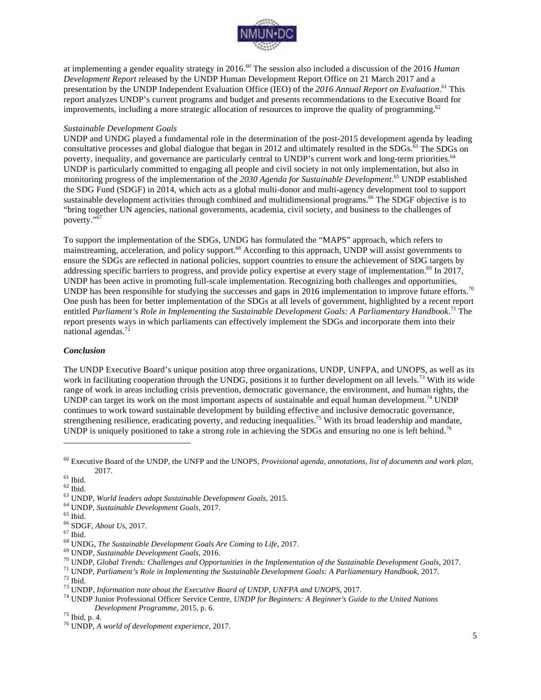

at implementing a gender equality strategy in 2016. <sup>60</sup> The session also included a discussion of the 2016 *Human Development Report* released by the UNDP Human Development Report Office on 21 March 2017 and a presentation by the UNDP Independent Evaluation Office (IEO) of the *2016 Annual Report on Evaluation*. <sup>61</sup> This report analyzes UNDP's current programs and budget and presents recommendations to the Executive Board for improvements, including a more strategic allocation of resources to improve the quality of programming.<sup>62</sup>

#### *Sustainable Development Goals*

UNDP and UNDG played a fundamental role in the determination of the post-2015 development agenda by leading consultative processes and global dialogue that began in 2012 and ultimately resulted in the SDGs.<sup>63</sup> The SDGs on poverty, inequality, and governance are particularly central to UNDP's current work and long-term priorities.<sup>64</sup> UNDP is particularly committed to engaging all people and civil society in not only implementation, but also in monitoring progress of the implementation of the *2030 Agenda for Sustainable Development*. <sup>65</sup> UNDP established the SDG Fund (SDGF) in 2014, which acts as a global multi-donor and multi-agency development tool to support sustainable development activities through combined and multidimensional programs.<sup>66</sup> The SDGF objective is to "bring together UN agencies, national governments, academia, civil society, and business to the challenges of poverty."<sup>67</sup>

To support the implementation of the SDGs, UNDG has formulated the "MAPS" approach, which refers to mainstreaming, acceleration, and policy support.68 According to this approach, UNDP will assist governments to ensure the SDGs are reflected in national policies, support countries to ensure the achievement of SDG targets by addressing specific barriers to progress, and provide policy expertise at every stage of implementation.<sup>69</sup> In 2017, UNDP has been active in promoting full-scale implementation. Recognizing both challenges and opportunities, UNDP has been responsible for studying the successes and gaps in 2016 implementation to improve future efforts.<sup>70</sup> One push has been for better implementation of the SDGs at all levels of government, highlighted by a recent report entitled *Parliament's Role in Implementing the Sustainable Development Goals: A Parliamentary Handbook*. <sup>71</sup> The report presents ways in which parliaments can effectively implement the SDGs and incorporate them into their national agendas.<sup>7</sup>

#### *Conclusion*

The UNDP Executive Board's unique position atop three organizations, UNDP, UNFPA, and UNOPS, as well as its work in facilitating cooperation through the UNDG, positions it to further development on all levels.<sup>73</sup> With its wide range of work in areas including crisis prevention, democratic governance, the environment, and human rights, the UNDP can target its work on the most important aspects of sustainable and equal human development.<sup>74</sup> UNDP continues to work toward sustainable development by building effective and inclusive democratic governance, strengthening resilience, eradicating poverty, and reducing inequalities.<sup>75</sup> With its broad leadership and mandate, UNDP is uniquely positioned to take a strong role in achieving the SDGs and ensuring no one is left behind.<sup>76</sup>

<sup>60</sup> Executive Board of the UNDP, the UNFP and the UNOPS, *Provisional agenda, annotations, list of documents and work plan*,

<sup>&</sup>lt;sup>61</sup> Ibid.<br><sup>61</sup> Ibid.<br><sup>62</sup> Ibid.<br><sup>63</sup> UNDP, *World leaders adopt Sustainable Development Goals, 2015.*<br><sup>65</sup> UNDP, *Sustainable Development Goals, 2017.*<br><sup>67</sup> Ibid.<br><sup>68</sup> UNDG, *The Sustainable Development Goals, 2017.*<br><sup>69</sup>

*Development Programme*, 2015, p. 6. <sup>75</sup> Ibid, p. 4. <sup>76</sup> UNDP, *A world of development experience*, 2017.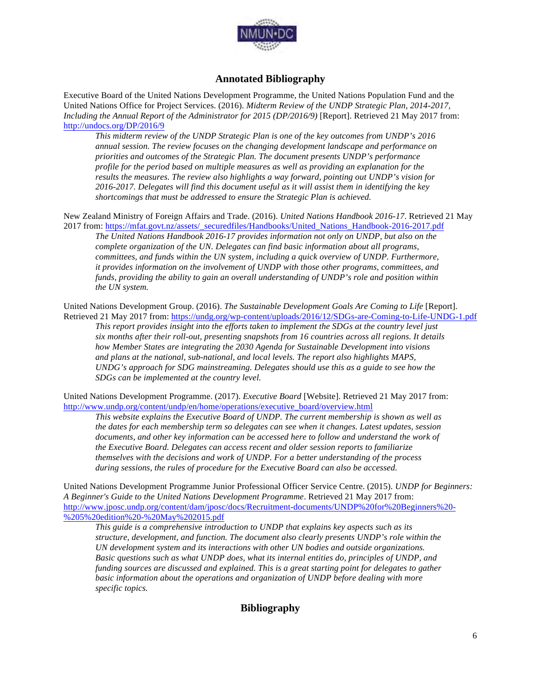

## **Annotated Bibliography**

Executive Board of the United Nations Development Programme, the United Nations Population Fund and the United Nations Office for Project Services. (2016). *Midterm Review of the UNDP Strategic Plan, 2014-2017, Including the Annual Report of the Administrator for 2015 (DP/2016/9)* [Report]. Retrieved 21 May 2017 from: http://undocs.org/DP/2016/9

*This midterm review of the UNDP Strategic Plan is one of the key outcomes from UNDP's 2016 annual session. The review focuses on the changing development landscape and performance on priorities and outcomes of the Strategic Plan. The document presents UNDP's performance profile for the period based on multiple measures as well as providing an explanation for the results the measures. The review also highlights a way forward, pointing out UNDP's vision for 2016-2017. Delegates will find this document useful as it will assist them in identifying the key shortcomings that must be addressed to ensure the Strategic Plan is achieved.* 

New Zealand Ministry of Foreign Affairs and Trade. (2016). *United Nations Handbook 2016-17*. Retrieved 21 May 2017 from: https://mfat.govt.nz/assets/\_securedfiles/Handbooks/United\_Nations\_Handbook-2016-2017.pdf

*The United Nations Handbook 2016-17 provides information not only on UNDP, but also on the complete organization of the UN. Delegates can find basic information about all programs, committees, and funds within the UN system, including a quick overview of UNDP. Furthermore, it provides information on the involvement of UNDP with those other programs, committees, and funds, providing the ability to gain an overall understanding of UNDP's role and position within the UN system.*

United Nations Development Group. (2016). *The Sustainable Development Goals Are Coming to Life* [Report]. Retrieved 21 May 2017 from: https://undg.org/wp-content/uploads/2016/12/SDGs-are-Coming-to-Life-UNDG-1.pdf *This report provides insight into the efforts taken to implement the SDGs at the country level just six months after their roll-out, presenting snapshots from 16 countries across all regions. It details how Member States are integrating the 2030 Agenda for Sustainable Development into visions and plans at the national, sub-national, and local levels. The report also highlights MAPS, UNDG's approach for SDG mainstreaming. Delegates should use this as a guide to see how the SDGs can be implemented at the country level.*

United Nations Development Programme. (2017). *Executive Board* [Website]. Retrieved 21 May 2017 from: http://www.undp.org/content/undp/en/home/operations/executive\_board/overview.html

*This website explains the Executive Board of UNDP. The current membership is shown as well as the dates for each membership term so delegates can see when it changes. Latest updates, session documents, and other key information can be accessed here to follow and understand the work of the Executive Board. Delegates can access recent and older session reports to familiarize themselves with the decisions and work of UNDP. For a better understanding of the process during sessions, the rules of procedure for the Executive Board can also be accessed.*

United Nations Development Programme Junior Professional Officer Service Centre. (2015). *UNDP for Beginners: A Beginner's Guide to the United Nations Development Programme*. Retrieved 21 May 2017 from: http://www.jposc.undp.org/content/dam/jposc/docs/Recruitment-documents/UNDP%20for%20Beginners%20- %205%20edition%20-%20May%202015.pdf

*This guide is a comprehensive introduction to UNDP that explains key aspects such as its structure, development, and function. The document also clearly presents UNDP's role within the UN development system and its interactions with other UN bodies and outside organizations. Basic questions such as what UNDP does, what its internal entities do, principles of UNDP, and funding sources are discussed and explained. This is a great starting point for delegates to gather basic information about the operations and organization of UNDP before dealing with more specific topics.*

# **Bibliography**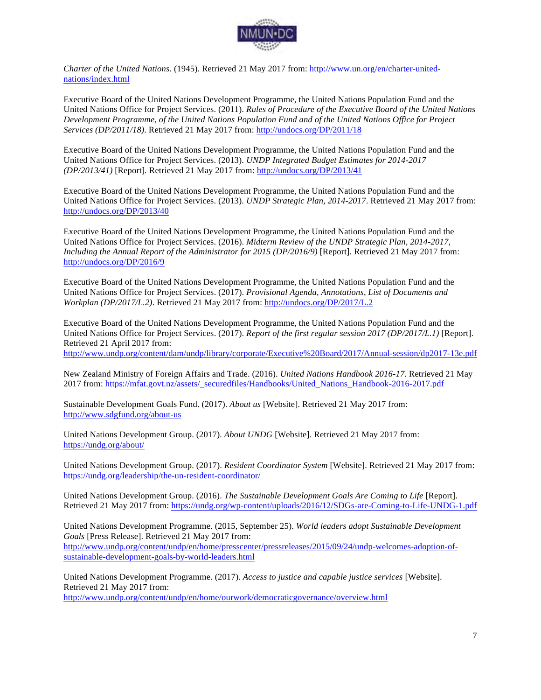

*Charter of the United Nations*. (1945). Retrieved 21 May 2017 from: http://www.un.org/en/charter-unitednations/index.html

Executive Board of the United Nations Development Programme, the United Nations Population Fund and the United Nations Office for Project Services. (2011). *Rules of Procedure of the Executive Board of the United Nations Development Programme, of the United Nations Population Fund and of the United Nations Office for Project Services (DP/2011/18)*. Retrieved 21 May 2017 from: http://undocs.org/DP/2011/18

Executive Board of the United Nations Development Programme, the United Nations Population Fund and the United Nations Office for Project Services. (2013). *UNDP Integrated Budget Estimates for 2014-2017 (DP/2013/41)* [Report]*.* Retrieved 21 May 2017 from: http://undocs.org/DP/2013/41

Executive Board of the United Nations Development Programme, the United Nations Population Fund and the United Nations Office for Project Services. (2013). *UNDP Strategic Plan, 2014-2017*. Retrieved 21 May 2017 from: http://undocs.org/DP/2013/40

Executive Board of the United Nations Development Programme, the United Nations Population Fund and the United Nations Office for Project Services. (2016). *Midterm Review of the UNDP Strategic Plan, 2014-2017, Including the Annual Report of the Administrator for 2015 (DP/2016/9)* [Report]. Retrieved 21 May 2017 from: http://undocs.org/DP/2016/9

Executive Board of the United Nations Development Programme, the United Nations Population Fund and the United Nations Office for Project Services. (2017). *Provisional Agenda, Annotations, List of Documents and Workplan (DP/2017/L.2)*. Retrieved 21 May 2017 from: http://undocs.org/DP/2017/L.2

Executive Board of the United Nations Development Programme, the United Nations Population Fund and the United Nations Office for Project Services. (2017). *Report of the first regular session 2017 (DP/2017/L.1)* [Report]. Retrieved 21 April 2017 from:

http://www.undp.org/content/dam/undp/library/corporate/Executive%20Board/2017/Annual-session/dp2017-13e.pdf

New Zealand Ministry of Foreign Affairs and Trade. (2016). *United Nations Handbook 2016-17*. Retrieved 21 May 2017 from: https://mfat.govt.nz/assets/\_securedfiles/Handbooks/United\_Nations\_Handbook-2016-2017.pdf

Sustainable Development Goals Fund. (2017). *About us* [Website]. Retrieved 21 May 2017 from: http://www.sdgfund.org/about-us

United Nations Development Group. (2017). *About UNDG* [Website]. Retrieved 21 May 2017 from: https://undg.org/about/

United Nations Development Group. (2017). *Resident Coordinator System* [Website]. Retrieved 21 May 2017 from: https://undg.org/leadership/the-un-resident-coordinator/

United Nations Development Group. (2016). *The Sustainable Development Goals Are Coming to Life* [Report]. Retrieved 21 May 2017 from: https://undg.org/wp-content/uploads/2016/12/SDGs-are-Coming-to-Life-UNDG-1.pdf

United Nations Development Programme. (2015, September 25). *World leaders adopt Sustainable Development Goals* [Press Release]. Retrieved 21 May 2017 from: http://www.undp.org/content/undp/en/home/presscenter/pressreleases/2015/09/24/undp-welcomes-adoption-ofsustainable-development-goals-by-world-leaders.html

United Nations Development Programme. (2017). *Access to justice and capable justice services* [Website]. Retrieved 21 May 2017 from:

http://www.undp.org/content/undp/en/home/ourwork/democraticgovernance/overview.html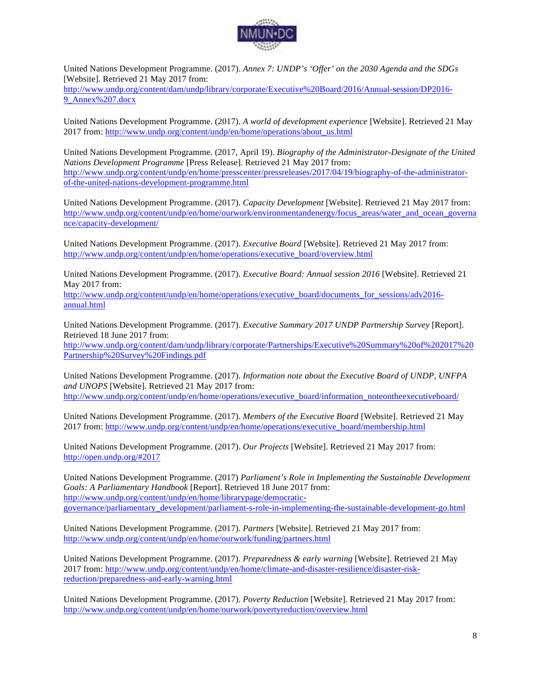

United Nations Development Programme. (2017). *Annex 7: UNDP's 'Offer' on the 2030 Agenda and the SDGs*  [Website]. Retrieved 21 May 2017 from:

http://www.undp.org/content/dam/undp/library/corporate/Executive%20Board/2016/Annual-session/DP2016- 9\_Annex%207.docx

United Nations Development Programme. (2017). *A world of development experience* [Website]. Retrieved 21 May 2017 from: http://www.undp.org/content/undp/en/home/operations/about\_us.html

United Nations Development Programme. (2017, April 19). *Biography of the Administrator-Designate of the United Nations Development Programme* [Press Release]. Retrieved 21 May 2017 from: http://www.undp.org/content/undp/en/home/presscenter/pressreleases/2017/04/19/biography-of-the-administratorof-the-united-nations-development-programme.html

United Nations Development Programme. (2017). *Capacity Development* [Website]. Retrieved 21 May 2017 from: http://www.undp.org/content/undp/en/home/ourwork/environmentandenergy/focus\_areas/water\_and\_ocean\_governa nce/capacity-development/

United Nations Development Programme. (2017). *Executive Board* [Website]. Retrieved 21 May 2017 from: http://www.undp.org/content/undp/en/home/operations/executive\_board/overview.html

United Nations Development Programme. (2017). *Executive Board: Annual session 2016* [Website]. Retrieved 21 May 2017 from:

http://www.undp.org/content/undp/en/home/operations/executive\_board/documents\_for\_sessions/adv2016annual.html

United Nations Development Programme. (2017). *Executive Summary 2017 UNDP Partnership Survey* [Report]. Retrieved 18 June 2017 from:

http://www.undp.org/content/dam/undp/library/corporate/Partnerships/Executive%20Summary%20of%202017%20 Partnership%20Survey%20Findings.pdf

United Nations Development Programme. (2017). *Information note about the Executive Board of UNDP, UNFPA and UNOPS* [Website]. Retrieved 21 May 2017 from: http://www.undp.org/content/undp/en/home/operations/executive\_board/information\_noteontheexecutiveboard/

United Nations Development Programme. (2017). *Members of the Executive Board* [Website]. Retrieved 21 May 2017 from: http://www.undp.org/content/undp/en/home/operations/executive\_board/membership.html

United Nations Development Programme. (2017). *Our Projects* [Website]. Retrieved 21 May 2017 from: http://open.undp.org/#2017

United Nations Development Programme. (2017) *Parliament's Role in Implementing the Sustainable Development Goals: A Parliamentary Handbook* [Report]. Retrieved 18 June 2017 from: http://www.undp.org/content/undp/en/home/librarypage/democraticgovernance/parliamentary\_development/parliament-s-role-in-implementing-the-sustainable-development-go.html

United Nations Development Programme. (2017). *Partners* [Website]. Retrieved 21 May 2017 from: http://www.undp.org/content/undp/en/home/ourwork/funding/partners.html

United Nations Development Programme. (2017). *Preparedness & early warning* [Website]. Retrieved 21 May 2017 from: http://www.undp.org/content/undp/en/home/climate-and-disaster-resilience/disaster-riskreduction/preparedness-and-early-warning.html

United Nations Development Programme. (2017). *Poverty Reduction* [Website]. Retrieved 21 May 2017 from: http://www.undp.org/content/undp/en/home/ourwork/povertyreduction/overview.html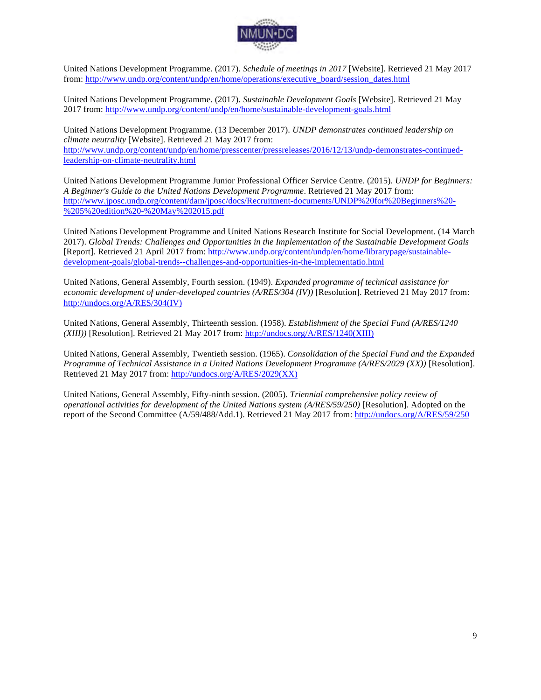

United Nations Development Programme. (2017). *Schedule of meetings in 2017* [Website]. Retrieved 21 May 2017 from: http://www.undp.org/content/undp/en/home/operations/executive\_board/session\_dates.html

United Nations Development Programme. (2017). *Sustainable Development Goals* [Website]. Retrieved 21 May 2017 from: http://www.undp.org/content/undp/en/home/sustainable-development-goals.html

United Nations Development Programme. (13 December 2017). *UNDP demonstrates continued leadership on climate neutrality* [Website]. Retrieved 21 May 2017 from: http://www.undp.org/content/undp/en/home/presscenter/pressreleases/2016/12/13/undp-demonstrates-continuedleadership-on-climate-neutrality.html

United Nations Development Programme Junior Professional Officer Service Centre. (2015). *UNDP for Beginners: A Beginner's Guide to the United Nations Development Programme*. Retrieved 21 May 2017 from: http://www.jposc.undp.org/content/dam/jposc/docs/Recruitment-documents/UNDP%20for%20Beginners%20- %205%20edition%20-%20May%202015.pdf

United Nations Development Programme and United Nations Research Institute for Social Development. (14 March 2017). *Global Trends: Challenges and Opportunities in the Implementation of the Sustainable Development Goals* [Report]. Retrieved 21 April 2017 from: http://www.undp.org/content/undp/en/home/librarypage/sustainabledevelopment-goals/global-trends--challenges-and-opportunities-in-the-implementatio.html

United Nations, General Assembly, Fourth session. (1949). *Expanded programme of technical assistance for economic development of under-developed countries (A/RES/304 (IV))* [Resolution]. Retrieved 21 May 2017 from: http://undocs.org/A/RES/304(IV)

United Nations, General Assembly, Thirteenth session. (1958). *Establishment of the Special Fund (A/RES/1240 (XIII))* [Resolution]. Retrieved 21 May 2017 from: http://undocs.org/A/RES/1240(XIII)

United Nations, General Assembly, Twentieth session. (1965). *Consolidation of the Special Fund and the Expanded Programme of Technical Assistance in a United Nations Development Programme (A/RES/2029 (XX))* [Resolution]. Retrieved 21 May 2017 from: http://undocs.org/A/RES/2029(XX)

United Nations, General Assembly, Fifty-ninth session. (2005). *Triennial comprehensive policy review of operational activities for development of the United Nations system (A/RES/59/250)* [Resolution]. Adopted on the report of the Second Committee (A/59/488/Add.1). Retrieved 21 May 2017 from: http://undocs.org/A/RES/59/250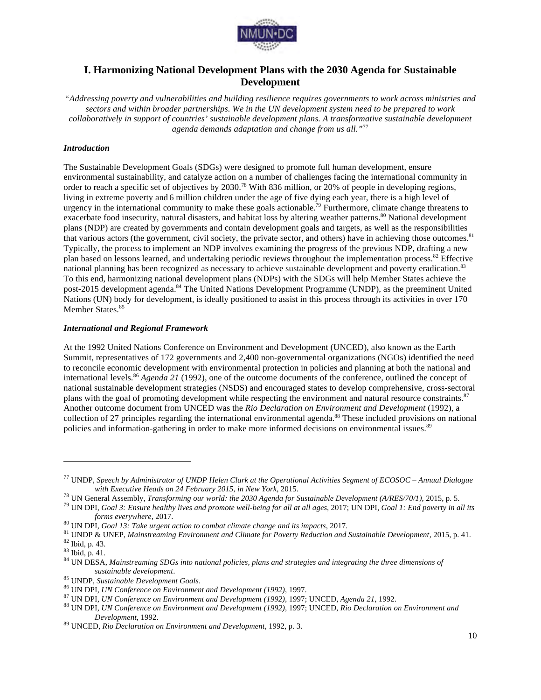

# **I. Harmonizing National Development Plans with the 2030 Agenda for Sustainable Development**

*"Addressing poverty and vulnerabilities and building resilience requires governments to work across ministries and sectors and within broader partnerships. We in the UN development system need to be prepared to work collaboratively in support of countries' sustainable development plans. A transformative sustainable development agenda demands adaptation and change from us all."*<sup>77</sup>

#### *Introduction*

The Sustainable Development Goals (SDGs) were designed to promote full human development, ensure environmental sustainability, and catalyze action on a number of challenges facing the international community in order to reach a specific set of objectives by 2030.<sup>78</sup> With 836 million, or 20% of people in developing regions, living in extreme poverty and 6 million children under the age of five dying each year, there is a high level of urgency in the international community to make these goals actionable.<sup>79</sup> Furthermore, climate change threatens to exacerbate food insecurity, natural disasters, and habitat loss by altering weather patterns.<sup>80</sup> National development plans (NDP) are created by governments and contain development goals and targets, as well as the responsibilities that various actors (the government, civil society, the private sector, and others) have in achieving those outcomes.<sup>81</sup> Typically, the process to implement an NDP involves examining the progress of the previous NDP, drafting a new plan based on lessons learned, and undertaking periodic reviews throughout the implementation process.<sup>82</sup> Effective national planning has been recognized as necessary to achieve sustainable development and poverty eradication.<sup>83</sup> To this end, harmonizing national development plans (NDPs) with the SDGs will help Member States achieve the post-2015 development agenda.<sup>84</sup> The United Nations Development Programme (UNDP), as the preeminent United Nations (UN) body for development, is ideally positioned to assist in this process through its activities in over 170 Member States.<sup>85</sup>

#### *International and Regional Framework*

At the 1992 United Nations Conference on Environment and Development (UNCED), also known as the Earth Summit, representatives of 172 governments and 2,400 non-governmental organizations (NGOs) identified the need to reconcile economic development with environmental protection in policies and planning at both the national and international levels.<sup>86</sup> *Agenda 21* (1992), one of the outcome documents of the conference, outlined the concept of national sustainable development strategies (NSDS) and encouraged states to develop comprehensive, cross-sectoral plans with the goal of promoting development while respecting the environment and natural resource constraints.<sup>87</sup> Another outcome document from UNCED was the *Rio Declaration on Environment and Development* (1992), a collection of 27 principles regarding the international environmental agenda.<sup>88</sup> These included provisions on national policies and information-gathering in order to make more informed decisions on environmental issues.<sup>89</sup>

<sup>77</sup> UNDP, *Speech by Administrator of UNDP Helen Clark at the Operational Activities Segment of ECOSOC – Annual Dialogue*  with Executive Heads on 24 February 2015, in New York, 2015.<br><sup>78</sup> UN General Assembly, *Transforming our world: the 2030 Agenda for Sustainable Development (A/RES/70/1)*, 2015, p. 5.<br><sup>79</sup> UN DPI, *Goal 3: Ensure healthy l* 

forms everywhere, 2017.<br><sup>80</sup> UN DPI, Goal 13: Take urgent action to combat climate change and its impacts, 2017.<br><sup>81</sup> UNDP & UNEP, Mainstreaming Environment and Climate for Poverty Reduction and Sustainable Development, 20

sustainable development.<br>
<sup>85</sup> UNDP, Sustainable Development Goals.<br>
<sup>86</sup> UN DPI, *UN Conference on Environment and Development (1992)*, 1997.<br>
<sup>87</sup> UN DPI, *UN Conference on Environment and Development (1992)*, 1997; UNCE *Development*, 1992. <sup>89</sup> UNCED, *Rio Declaration on Environment and Development*, 1992, p. 3.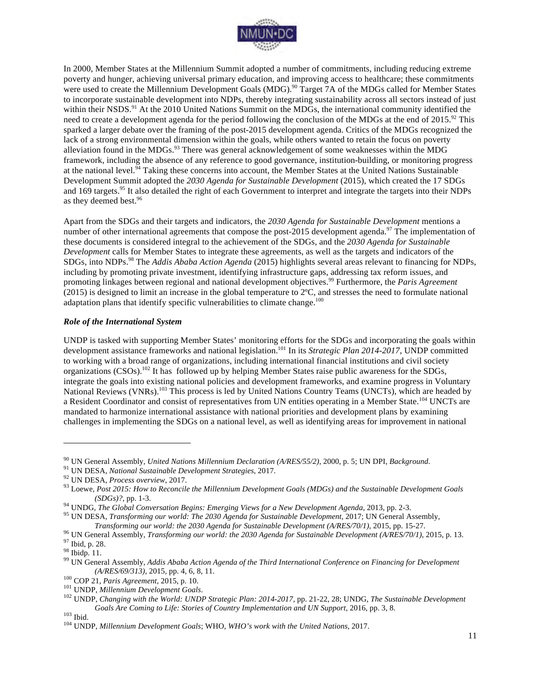

In 2000, Member States at the Millennium Summit adopted a number of commitments, including reducing extreme poverty and hunger, achieving universal primary education, and improving access to healthcare; these commitments were used to create the Millennium Development Goals (MDG).<sup>90</sup> Target 7A of the MDGs called for Member States to incorporate sustainable development into NDPs, thereby integrating sustainability across all sectors instead of just within their NSDS.<sup>91</sup> At the 2010 United Nations Summit on the MDGs, the international community identified the need to create a development agenda for the period following the conclusion of the MDGs at the end of 2015.<sup>92</sup> This sparked a larger debate over the framing of the post-2015 development agenda. Critics of the MDGs recognized the lack of a strong environmental dimension within the goals, while others wanted to retain the focus on poverty alleviation found in the MDGs.<sup>93</sup> There was general acknowledgement of some weaknesses within the MDG framework, including the absence of any reference to good governance, institution-building, or monitoring progress at the national level. $94$  Taking these concerns into account, the Member States at the United Nations Sustainable Development Summit adopted the *2030 Agenda for Sustainable Development* (2015), which created the 17 SDGs and 169 targets.<sup>95</sup> It also detailed the right of each Government to interpret and integrate the targets into their NDPs as they deemed best.<sup>96</sup>

Apart from the SDGs and their targets and indicators, the *2030 Agenda for Sustainable Development* mentions a number of other international agreements that compose the post-2015 development agenda.<sup>97</sup> The implementation of these documents is considered integral to the achievement of the SDGs, and the *2030 Agenda for Sustainable Development* calls for Member States to integrate these agreements, as well as the targets and indicators of the SDGs, into NDPs.<sup>98</sup> The *Addis Ababa Action Agenda* (2015) highlights several areas relevant to financing for NDPs, including by promoting private investment, identifying infrastructure gaps, addressing tax reform issues, and promoting linkages between regional and national development objectives.<sup>99</sup> Furthermore, the *Paris Agreement*   $(2015)$  is designed to limit an increase in the global temperature to  $2^{\circ}C$ , and stresses the need to formulate national adaptation plans that identify specific vulnerabilities to climate change. $100$ 

#### *Role of the International System*

UNDP is tasked with supporting Member States' monitoring efforts for the SDGs and incorporating the goals within development assistance frameworks and national legislation.101 In its *Strategic Plan 2014-2017*, UNDP committed to working with a broad range of organizations, including international financial institutions and civil society organizations  $(CSOS)$ .<sup>102</sup> It has followed up by helping Member States raise public awareness for the SDGs, integrate the goals into existing national policies and development frameworks, and examine progress in Voluntary National Reviews (VNRs).<sup>103</sup> This process is led by United Nations Country Teams (UNCTs), which are headed by a Resident Coordinator and consist of representatives from UN entities operating in a Member State.<sup>104</sup> UNCTs are mandated to harmonize international assistance with national priorities and development plans by examining challenges in implementing the SDGs on a national level, as well as identifying areas for improvement in national

<sup>&</sup>lt;sup>90</sup> UN General Assembly, *United Nations Millennium Declaration* (*A/RES/55/2*), 2000, p. 5; UN DPI, *Background*.<br><sup>91</sup> UN DESA, *National Sustainable Development Strategies*, 2017.<br><sup>92</sup> UN DESA, *Process overview*, 2017

<sup>(</sup>SDGs)?, pp. 1-3.<br><sup>94</sup> UNDG, *The Global Conversation Begins: Emerging Views for a New Development Agenda*, 2013, pp. 2-3.<br><sup>95</sup> UN DESA, *Transforming our world: The 2030 Agenda for Sustainable Development*, 2017; UN Gene

Transforming our world: the 2030 Agenda for Sustainable Development (A/RES/70/1), 2015, pp. 15-27.<br><sup>96</sup> UN General Assembly, *Transforming our world: the 2030 Agenda for Sustainable Development (A/RES/70/1)*, 2015, p. 13.

<sup>(</sup>*A/RES/69/313*), 2015, pp. 4, 6, 8, 11.<br><sup>100</sup> COP 21, *Paris Agreement*, 2015, p. 10.<br><sup>101</sup> UNDP, *Millennium Development Goals*.<br><sup>102</sup> UNDP, *Changing with the World: UNDP Strategic Plan: 2014-2017*, pp. 21-22, 28; UNDG *Goals Are Coming to Life: Stories of Country Implementation and UN Support*, 2016, pp. 3, 8. <sup>103</sup> Ibid. <sup>104</sup> UNDP, *Millennium Development Goals*; WHO, *WHO's work with the United Nations*, 2017.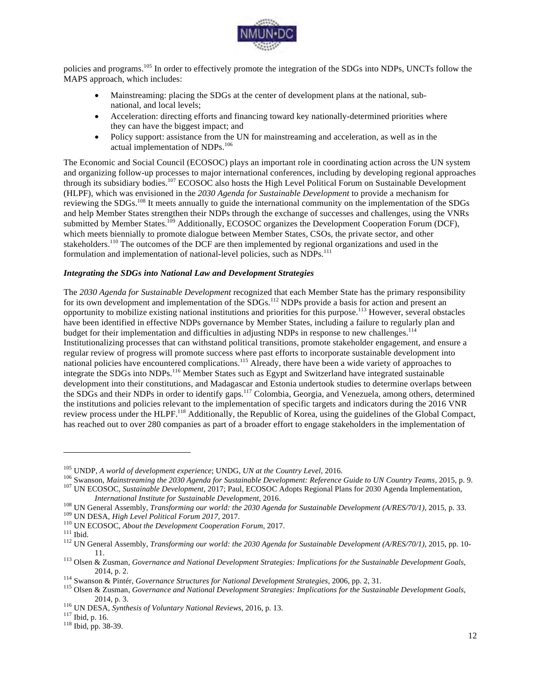

policies and programs.<sup>105</sup> In order to effectively promote the integration of the SDGs into NDPs, UNCTs follow the MAPS approach, which includes:

- Mainstreaming: placing the SDGs at the center of development plans at the national, subnational, and local levels;
- Acceleration: directing efforts and financing toward key nationally-determined priorities where they can have the biggest impact; and
- Policy support: assistance from the UN for mainstreaming and acceleration, as well as in the actual implementation of NDPs.<sup>106</sup>

The Economic and Social Council (ECOSOC) plays an important role in coordinating action across the UN system and organizing follow-up processes to major international conferences, including by developing regional approaches through its subsidiary bodies.<sup>107</sup> ECOSOC also hosts the High Level Political Forum on Sustainable Development (HLPF), which was envisioned in the *2030 Agenda for Sustainable Development* to provide a mechanism for reviewing the SDGs.108 It meets annually to guide the international community on the implementation of the SDGs and help Member States strengthen their NDPs through the exchange of successes and challenges, using the VNRs submitted by Member States.<sup>109</sup> Additionally, ECOSOC organizes the Development Cooperation Forum (DCF), which meets biennially to promote dialogue between Member States, CSOs, the private sector, and other stakeholders.<sup>110</sup> The outcomes of the DCF are then implemented by regional organizations and used in the formulation and implementation of national-level policies, such as NDPs.<sup>111</sup>

#### *Integrating the SDGs into National Law and Development Strategies*

The *2030 Agenda for Sustainable Development* recognized that each Member State has the primary responsibility for its own development and implementation of the SDGs.<sup>112</sup> NDPs provide a basis for action and present an opportunity to mobilize existing national institutions and priorities for this purpose.<sup>113</sup> However, several obstacles have been identified in effective NDPs governance by Member States, including a failure to regularly plan and budget for their implementation and difficulties in adjusting NDPs in response to new challenges.<sup>114</sup> Institutionalizing processes that can withstand political transitions, promote stakeholder engagement, and ensure a regular review of progress will promote success where past efforts to incorporate sustainable development into national policies have encountered complications.<sup>115</sup> Already, there have been a wide variety of approaches to integrate the SDGs into NDPs.<sup>116</sup> Member States such as Egypt and Switzerland have integrated sustainable development into their constitutions, and Madagascar and Estonia undertook studies to determine overlaps between the SDGs and their NDPs in order to identify gaps.117 Colombia, Georgia, and Venezuela, among others, determined the institutions and policies relevant to the implementation of specific targets and indicators during the 2016 VNR review process under the HLPF.118 Additionally, the Republic of Korea, using the guidelines of the Global Compact, has reached out to over 280 companies as part of a broader effort to engage stakeholders in the implementation of

<sup>&</sup>lt;sup>105</sup> UNDP, A world of development experience; UNDG, *UN* at the Country Level, 2016.<br><sup>106</sup> Swanson, Mainstreaming the 2030 Agenda for Sustainable Development: Reference Guide to UN Country Teams, 2015, p. 9.<br><sup>107</sup> UN ECO

International Institute for Sustainable Development, 2016.<br>
<sup>108</sup> UN General Assembly, *Transforming our world: the 2030 Agenda for Sustainable Development (A/RES/70/1)*, 2015, p. 33.<br>
<sup>109</sup> UN DESA, *High Level Political* 11. <sup>113</sup> Olsen & Zusman, *Governance and National Development Strategies: Implications for the Sustainable Development Goals*,

<sup>2014,</sup> p. 2.<br><sup>114</sup> Swanson & Pintér, *Governance Structures for National Development Strategies*, 2006, pp. 2, 31.<br><sup>115</sup> Olsen & Zusman, *Governance and National Development Strategies: Implications for the Sustainable Deve* 

<sup>2014,</sup> p. 3. <sup>116</sup> UN DESA, *Synthesis of Voluntary National Reviews*, 2016, p. 13. <sup>117</sup> Ibid, p. 16. <sup>118</sup> Ibid, pp. 38-39.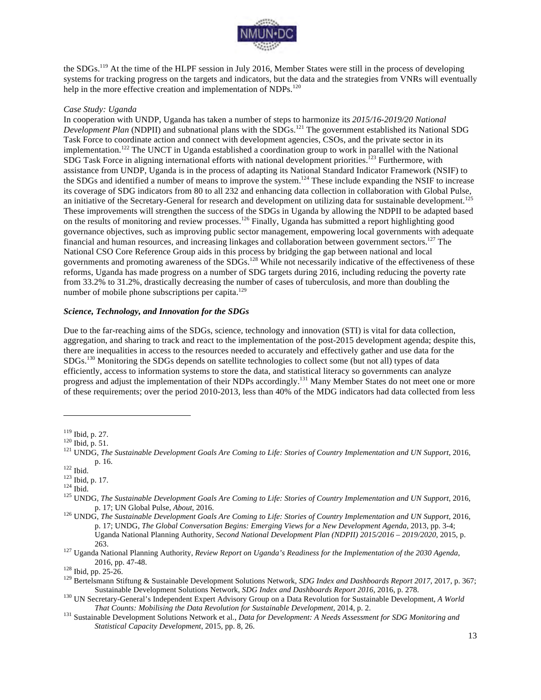

the SDGs.<sup>119</sup> At the time of the HLPF session in July 2016, Member States were still in the process of developing systems for tracking progress on the targets and indicators, but the data and the strategies from VNRs will eventually help in the more effective creation and implementation of NDPs.<sup>120</sup>

#### *Case Study: Uganda*

In cooperation with UNDP, Uganda has taken a number of steps to harmonize its *2015/16-2019/20 National Development Plan* (NDPII) and subnational plans with the SDGs.<sup>121</sup> The government established its National SDG Task Force to coordinate action and connect with development agencies, CSOs, and the private sector in its implementation.<sup>122</sup> The UNCT in Uganda established a coordination group to work in parallel with the National SDG Task Force in aligning international efforts with national development priorities.<sup>123</sup> Furthermore, with assistance from UNDP, Uganda is in the process of adapting its National Standard Indicator Framework (NSIF) to the SDGs and identified a number of means to improve the system.<sup>124</sup> These include expanding the NSIF to increase its coverage of SDG indicators from 80 to all 232 and enhancing data collection in collaboration with Global Pulse, an initiative of the Secretary-General for research and development on utilizing data for sustainable development.<sup>125</sup> These improvements will strengthen the success of the SDGs in Uganda by allowing the NDPII to be adapted based on the results of monitoring and review processes.<sup>126</sup> Finally, Uganda has submitted a report highlighting good governance objectives, such as improving public sector management, empowering local governments with adequate financial and human resources, and increasing linkages and collaboration between government sectors.127 The National CSO Core Reference Group aids in this process by bridging the gap between national and local governments and promoting awareness of the SDGs.<sup>128</sup> While not necessarily indicative of the effectiveness of these reforms, Uganda has made progress on a number of SDG targets during 2016, including reducing the poverty rate from 33.2% to 31.2%, drastically decreasing the number of cases of tuberculosis, and more than doubling the number of mobile phone subscriptions per capita. $129$ 

#### *Science, Technology, and Innovation for the SDGs*

Due to the far-reaching aims of the SDGs, science, technology and innovation (STI) is vital for data collection, aggregation, and sharing to track and react to the implementation of the post-2015 development agenda; despite this, there are inequalities in access to the resources needed to accurately and effectively gather and use data for the SDGs.<sup>130</sup> Monitoring the SDGs depends on satellite technologies to collect some (but not all) types of data efficiently, access to information systems to store the data, and statistical literacy so governments can analyze progress and adjust the implementation of their NDPs accordingly.131 Many Member States do not meet one or more of these requirements; over the period 2010-2013, less than 40% of the MDG indicators had data collected from less

<sup>&</sup>lt;sup>119</sup> Ibid, p. 27.<br><sup>120</sup> Ibid, p. 51.<br><sup>121</sup> UNDG, *The Sustainable Development Goals Are Coming to Life: Stories of Country Implementation and UN Support, 2016,* 

p. 16.<br><sup>122</sup> Ibid. 123 Ibid, p. 17.<br><sup>124</sup> Ibid. 125 UNDG, *The Sustainable Development Goals Are Coming to Life: Stories of Country Implementation and UN Support, 2016,<br><sup>125</sup> UNDG, <i>The Sustainable Development Goals Are Co* 

<sup>&</sup>lt;sup>126</sup> UNDG, *The Sustainable Development Goals Are Coming to Life: Stories of Country Implementation and UN Support*, 2016, p. 17; UNDG, *The Global Conversation Begins: Emerging Views for a New Development Agenda*, 2013, pp. 3-4; Uganda National Planning Authority, *Second National Development Plan (NDPII) 2015/2016 – 2019/2020*, 2015, p. 263. <sup>127</sup> Uganda National Planning Authority, *Review Report on Uganda's Readiness for the Implementation of the 2030 Agenda*,

<sup>2016,</sup> pp. 47-48. <sup>128</sup> Ibid, pp. 25-26. <sup>129</sup> Bertelsmann Stiftung & Sustainable Development Solutions Network, *SDG Index and Dashboards Report 2017*, 2017, p. 367;

Sustainable Development Solutions Network, SDG Index and Dashboards Report 2016, 2016, p. 278.<br><sup>130</sup> UN Secretary-General's Independent Expert Advisory Group on a Data Revolution for Sustainable Development, A World

*That Counts: Mobilising the Data Revolution for Sustainable Development*, 2014, p. 2. <sup>131</sup> Sustainable Development Solutions Network et al., *Data for Development: A Needs Assessment for SDG Monitoring and* 

*Statistical Capacity Development*, 2015, pp. 8, 26.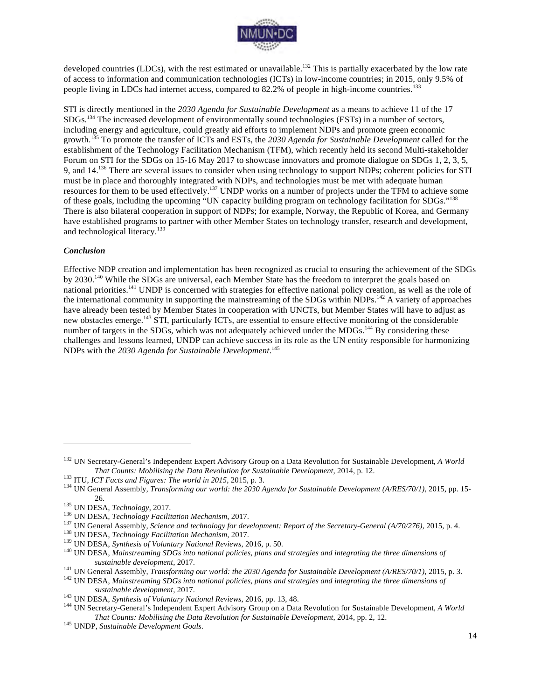

developed countries (LDCs), with the rest estimated or unavailable.<sup>132</sup> This is partially exacerbated by the low rate of access to information and communication technologies (ICTs) in low-income countries; in 2015, only 9.5% of people living in LDCs had internet access, compared to 82.2% of people in high-income countries.<sup>1</sup>

STI is directly mentioned in the *2030 Agenda for Sustainable Development* as a means to achieve 11 of the 17 SDGs.<sup>134</sup> The increased development of environmentally sound technologies (ESTs) in a number of sectors, including energy and agriculture, could greatly aid efforts to implement NDPs and promote green economic growth.135 To promote the transfer of ICTs and ESTs, the *2030 Agenda for Sustainable Development* called for the establishment of the Technology Facilitation Mechanism (TFM), which recently held its second Multi-stakeholder Forum on STI for the SDGs on 15-16 May 2017 to showcase innovators and promote dialogue on SDGs 1, 2, 3, 5, 9, and 14.136 There are several issues to consider when using technology to support NDPs; coherent policies for STI must be in place and thoroughly integrated with NDPs, and technologies must be met with adequate human resources for them to be used effectively.137 UNDP works on a number of projects under the TFM to achieve some of these goals, including the upcoming "UN capacity building program on technology facilitation for SDGs."138 There is also bilateral cooperation in support of NDPs; for example, Norway, the Republic of Korea, and Germany have established programs to partner with other Member States on technology transfer, research and development, and technological literacy.<sup>139</sup>

#### *Conclusion*

 $\overline{a}$ 

Effective NDP creation and implementation has been recognized as crucial to ensuring the achievement of the SDGs by 2030.<sup>140</sup> While the SDGs are universal, each Member State has the freedom to interpret the goals based on national priorities.<sup>141</sup> UNDP is concerned with strategies for effective national policy creation, as well as the role of the international community in supporting the mainstreaming of the SDGs within NDPs.<sup>142</sup> A variety of approaches have already been tested by Member States in cooperation with UNCTs, but Member States will have to adjust as new obstacles emerge.<sup>143</sup> STI, particularly ICTs, are essential to ensure effective monitoring of the considerable number of targets in the SDGs, which was not adequately achieved under the MDGs.<sup>144</sup> By considering these challenges and lessons learned, UNDP can achieve success in its role as the UN entity responsible for harmonizing NDPs with the *2030 Agenda for Sustainable Development*. 145

<sup>132</sup> UN Secretary-General's Independent Expert Advisory Group on a Data Revolution for Sustainable Development, *A World*  That Counts: Mobilising the Data Revolution for Sustainable Development, 2014, p. 12.<br><sup>133</sup> ITU, *ICT Facts and Figures: The world in 2015*, 2015, p. 3.<br><sup>134</sup> UN General Assembly, *Transforming our world: the 2030 Agenda f* 

<sup>26.&</sup>lt;br><sup>135</sup> UN DESA, *Technology*, 2017.<br><sup>136</sup> UN DESA, *Technology Facilitation Mechanism*, 2017.<br><sup>137</sup> UN General Assembly, *Science and technology for development: Report of the Secretary-General (A/70/276)*, 2015, p. 4.<br>

sustainable development, 2017.<br><sup>141</sup> UN General Assembly, *Transforming our world: the 2030 Agenda for Sustainable Development (A/RES/70/1)*, 2015, p. 3.<br><sup>142</sup> UN DESA, *Mainstreaming SDGs into national policies, plans and* 

sustainable development, 2017.<br><sup>143</sup> UN DESA, *Synthesis of Voluntary National Reviews*, 2016, pp. 13, 48.<br><sup>144</sup> UN Secretary-General's Independent Expert Advisory Group on a Data Revolution for Sustainable Development, *A That Counts: Mobilising the Data Revolution for Sustainable Development*, 2014, pp. 2, 12.<br><sup>145</sup> UNDP, *Sustainable Development Goals*.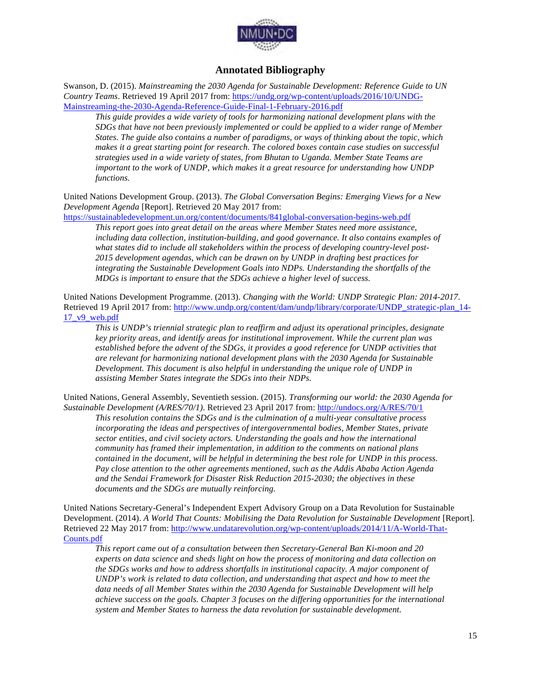

## **Annotated Bibliography**

Swanson, D. (2015). *Mainstreaming the 2030 Agenda for Sustainable Development: Reference Guide to UN Country Teams*. Retrieved 19 April 2017 from: https://undg.org/wp-content/uploads/2016/10/UNDG-Mainstreaming-the-2030-Agenda-Reference-Guide-Final-1-February-2016.pdf

*This guide provides a wide variety of tools for harmonizing national development plans with the SDGs that have not been previously implemented or could be applied to a wider range of Member States. The guide also contains a number of paradigms, or ways of thinking about the topic, which makes it a great starting point for research. The colored boxes contain case studies on successful strategies used in a wide variety of states, from Bhutan to Uganda. Member State Teams are important to the work of UNDP, which makes it a great resource for understanding how UNDP functions.*

United Nations Development Group. (2013). *The Global Conversation Begins: Emerging Views for a New Development Agenda* [Report]. Retrieved 20 May 2017 from:

https://sustainabledevelopment.un.org/content/documents/841global-conversation-begins-web.pdf

*This report goes into great detail on the areas where Member States need more assistance, including data collection, institution-building, and good governance. It also contains examples of what states did to include all stakeholders within the process of developing country-level post-2015 development agendas, which can be drawn on by UNDP in drafting best practices for integrating the Sustainable Development Goals into NDPs. Understanding the shortfalls of the MDGs is important to ensure that the SDGs achieve a higher level of success.*

United Nations Development Programme. (2013). *Changing with the World: UNDP Strategic Plan: 2014-2017*. Retrieved 19 April 2017 from: http://www.undp.org/content/dam/undp/library/corporate/UNDP\_strategic-plan\_14-17\_v9\_web.pdf

*This is UNDP's triennial strategic plan to reaffirm and adjust its operational principles, designate key priority areas, and identify areas for institutional improvement. While the current plan was established before the advent of the SDGs, it provides a good reference for UNDP activities that are relevant for harmonizing national development plans with the 2030 Agenda for Sustainable Development. This document is also helpful in understanding the unique role of UNDP in assisting Member States integrate the SDGs into their NDPs.*

United Nations, General Assembly, Seventieth session. (2015). *Transforming our world: the 2030 Agenda for Sustainable Development (A/RES/70/1)*. Retrieved 23 April 2017 from: http://undocs.org/A/RES/70/1

*This resolution contains the SDGs and is the culmination of a multi-year consultative process incorporating the ideas and perspectives of intergovernmental bodies, Member States, private sector entities, and civil society actors. Understanding the goals and how the international community has framed their implementation, in addition to the comments on national plans contained in the document, will be helpful in determining the best role for UNDP in this process. Pay close attention to the other agreements mentioned, such as the Addis Ababa Action Agenda and the Sendai Framework for Disaster Risk Reduction 2015-2030; the objectives in these documents and the SDGs are mutually reinforcing.*

United Nations Secretary-General's Independent Expert Advisory Group on a Data Revolution for Sustainable Development. (2014). *A World That Counts: Mobilising the Data Revolution for Sustainable Development* [Report]. Retrieved 22 May 2017 from: http://www.undatarevolution.org/wp-content/uploads/2014/11/A-World-That-Counts.pdf

*This report came out of a consultation between then Secretary-General Ban Ki-moon and 20 experts on data science and sheds light on how the process of monitoring and data collection on the SDGs works and how to address shortfalls in institutional capacity. A major component of UNDP's work is related to data collection, and understanding that aspect and how to meet the data needs of all Member States within the 2030 Agenda for Sustainable Development will help achieve success on the goals. Chapter 3 focuses on the differing opportunities for the international system and Member States to harness the data revolution for sustainable development.*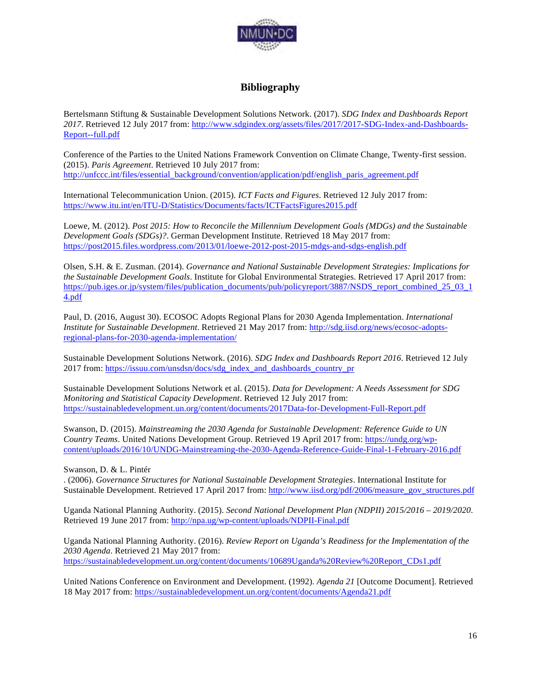

# **Bibliography**

Bertelsmann Stiftung & Sustainable Development Solutions Network. (2017). *SDG Index and Dashboards Report 2017*. Retrieved 12 July 2017 from: http://www.sdgindex.org/assets/files/2017/2017-SDG-Index-and-Dashboards-Report--full.pdf

Conference of the Parties to the United Nations Framework Convention on Climate Change, Twenty-first session. (2015). *Paris Agreement*. Retrieved 10 July 2017 from: http://unfccc.int/files/essential\_background/convention/application/pdf/english\_paris\_agreement.pdf

International Telecommunication Union. (2015). *ICT Facts and Figures*. Retrieved 12 July 2017 from: https://www.itu.int/en/ITU-D/Statistics/Documents/facts/ICTFactsFigures2015.pdf

Loewe, M. (2012). *Post 2015: How to Reconcile the Millennium Development Goals (MDGs) and the Sustainable Development Goals (SDGs)?*. German Development Institute. Retrieved 18 May 2017 from: https://post2015.files.wordpress.com/2013/01/loewe-2012-post-2015-mdgs-and-sdgs-english.pdf

Olsen, S.H. & E. Zusman. (2014). *Governance and National Sustainable Development Strategies: Implications for the Sustainable Development Goals*. Institute for Global Environmental Strategies. Retrieved 17 April 2017 from: https://pub.iges.or.jp/system/files/publication\_documents/pub/policyreport/3887/NSDS\_report\_combined\_25\_03\_1 4.pdf

Paul, D. (2016, August 30). ECOSOC Adopts Regional Plans for 2030 Agenda Implementation. *International Institute for Sustainable Development*. Retrieved 21 May 2017 from: http://sdg.iisd.org/news/ecosoc-adoptsregional-plans-for-2030-agenda-implementation/

Sustainable Development Solutions Network. (2016). *SDG Index and Dashboards Report 2016*. Retrieved 12 July 2017 from: https://issuu.com/unsdsn/docs/sdg\_index\_and\_dashboards\_country\_pr

Sustainable Development Solutions Network et al. (2015). *Data for Development: A Needs Assessment for SDG Monitoring and Statistical Capacity Development*. Retrieved 12 July 2017 from: https://sustainabledevelopment.un.org/content/documents/2017Data-for-Development-Full-Report.pdf

Swanson, D. (2015). *Mainstreaming the 2030 Agenda for Sustainable Development: Reference Guide to UN Country Teams*. United Nations Development Group. Retrieved 19 April 2017 from: https://undg.org/wpcontent/uploads/2016/10/UNDG-Mainstreaming-the-2030-Agenda-Reference-Guide-Final-1-February-2016.pdf

Swanson, D. & L. Pintér

. (2006). *Governance Structures for National Sustainable Development Strategies*. International Institute for Sustainable Development. Retrieved 17 April 2017 from: http://www.iisd.org/pdf/2006/measure\_gov\_structures.pdf

Uganda National Planning Authority. (2015). *Second National Development Plan (NDPII) 2015/2016 – 2019/2020*. Retrieved 19 June 2017 from: http://npa.ug/wp-content/uploads/NDPII-Final.pdf

Uganda National Planning Authority. (2016). *Review Report on Uganda's Readiness for the Implementation of the 2030 Agenda*. Retrieved 21 May 2017 from: https://sustainabledevelopment.un.org/content/documents/10689Uganda%20Review%20Report\_CDs1.pdf

United Nations Conference on Environment and Development. (1992). *Agenda 21* [Outcome Document]. Retrieved 18 May 2017 from: https://sustainabledevelopment.un.org/content/documents/Agenda21.pdf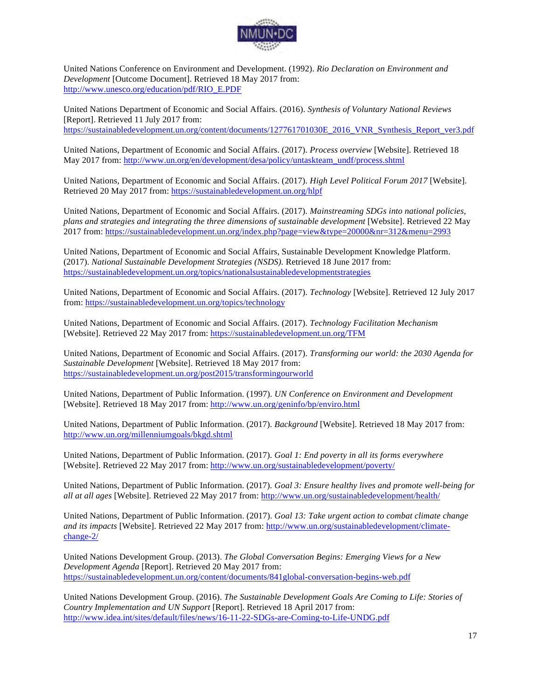

United Nations Conference on Environment and Development. (1992). *Rio Declaration on Environment and Development* [Outcome Document]. Retrieved 18 May 2017 from: http://www.unesco.org/education/pdf/RIO\_E.PDF

United Nations Department of Economic and Social Affairs. (2016). *Synthesis of Voluntary National Reviews* [Report]. Retrieved 11 July 2017 from: https://sustainabledevelopment.un.org/content/documents/127761701030E\_2016\_VNR\_Synthesis\_Report\_ver3.pdf

United Nations, Department of Economic and Social Affairs. (2017). *Process overview* [Website]. Retrieved 18 May 2017 from: http://www.un.org/en/development/desa/policy/untaskteam\_undf/process.shtml

United Nations, Department of Economic and Social Affairs. (2017). *High Level Political Forum 2017* [Website]. Retrieved 20 May 2017 from: https://sustainabledevelopment.un.org/hlpf

United Nations, Department of Economic and Social Affairs. (2017). *Mainstreaming SDGs into national policies, plans and strategies and integrating the three dimensions of sustainable development* [Website]. Retrieved 22 May 2017 from: https://sustainabledevelopment.un.org/index.php?page=view&type=20000&nr=312&menu=2993

United Nations, Department of Economic and Social Affairs, Sustainable Development Knowledge Platform. (2017). *National Sustainable Development Strategies (NSDS).* Retrieved 18 June 2017 from: https://sustainabledevelopment.un.org/topics/nationalsustainabledevelopmentstrategies

United Nations, Department of Economic and Social Affairs. (2017). *Technology* [Website]. Retrieved 12 July 2017 from: https://sustainabledevelopment.un.org/topics/technology

United Nations, Department of Economic and Social Affairs. (2017). *Technology Facilitation Mechanism*  [Website]. Retrieved 22 May 2017 from: https://sustainabledevelopment.un.org/TFM

United Nations, Department of Economic and Social Affairs. (2017). *Transforming our world: the 2030 Agenda for Sustainable Development* [Website]. Retrieved 18 May 2017 from: https://sustainabledevelopment.un.org/post2015/transformingourworld

United Nations, Department of Public Information. (1997). *UN Conference on Environment and Development* [Website]. Retrieved 18 May 2017 from: http://www.un.org/geninfo/bp/enviro.html

United Nations, Department of Public Information. (2017). *Background* [Website]. Retrieved 18 May 2017 from: http://www.un.org/millenniumgoals/bkgd.shtml

United Nations, Department of Public Information. (2017). *Goal 1: End poverty in all its forms everywhere* [Website]. Retrieved 22 May 2017 from: http://www.un.org/sustainabledevelopment/poverty/

United Nations, Department of Public Information. (2017). *Goal 3: Ensure healthy lives and promote well-being for all at all ages* [Website]. Retrieved 22 May 2017 from: http://www.un.org/sustainabledevelopment/health/

United Nations, Department of Public Information. (2017). *Goal 13: Take urgent action to combat climate change and its impacts* [Website]. Retrieved 22 May 2017 from: http://www.un.org/sustainabledevelopment/climatechange-2/

United Nations Development Group. (2013). *The Global Conversation Begins: Emerging Views for a New Development Agenda* [Report]. Retrieved 20 May 2017 from: https://sustainabledevelopment.un.org/content/documents/841global-conversation-begins-web.pdf

United Nations Development Group. (2016). *The Sustainable Development Goals Are Coming to Life: Stories of Country Implementation and UN Support* [Report]. Retrieved 18 April 2017 from: http://www.idea.int/sites/default/files/news/16-11-22-SDGs-are-Coming-to-Life-UNDG.pdf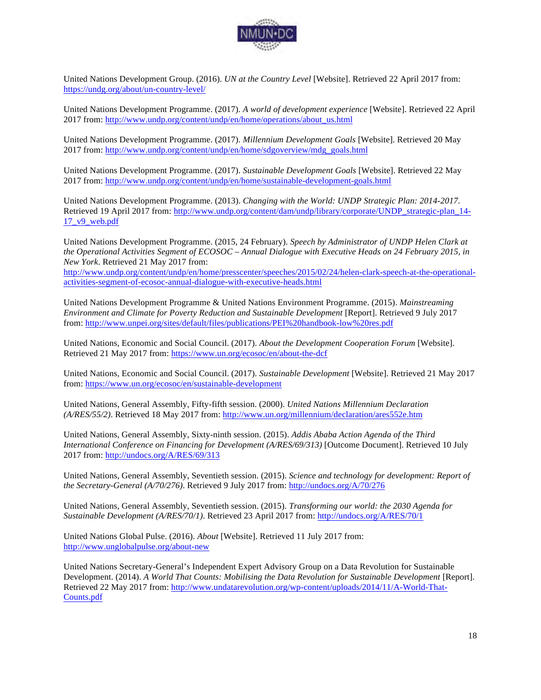

United Nations Development Group. (2016). *UN at the Country Level* [Website]. Retrieved 22 April 2017 from: https://undg.org/about/un-country-level/

United Nations Development Programme. (2017). *A world of development experience* [Website]. Retrieved 22 April 2017 from: http://www.undp.org/content/undp/en/home/operations/about\_us.html

United Nations Development Programme. (2017). *Millennium Development Goals* [Website]. Retrieved 20 May 2017 from: http://www.undp.org/content/undp/en/home/sdgoverview/mdg\_goals.html

United Nations Development Programme. (2017). *Sustainable Development Goals* [Website]. Retrieved 22 May 2017 from: http://www.undp.org/content/undp/en/home/sustainable-development-goals.html

United Nations Development Programme. (2013). *Changing with the World: UNDP Strategic Plan: 2014-2017*. Retrieved 19 April 2017 from: http://www.undp.org/content/dam/undp/library/corporate/UNDP\_strategic-plan\_14-17\_v9\_web.pdf

United Nations Development Programme. (2015, 24 February). *Speech by Administrator of UNDP Helen Clark at the Operational Activities Segment of ECOSOC – Annual Dialogue with Executive Heads on 24 February 2015, in New York*. Retrieved 21 May 2017 from:

http://www.undp.org/content/undp/en/home/presscenter/speeches/2015/02/24/helen-clark-speech-at-the-operationalactivities-segment-of-ecosoc-annual-dialogue-with-executive-heads.html

United Nations Development Programme & United Nations Environment Programme. (2015). *Mainstreaming Environment and Climate for Poverty Reduction and Sustainable Development* [Report]. Retrieved 9 July 2017 from: http://www.unpei.org/sites/default/files/publications/PEI%20handbook-low%20res.pdf

United Nations, Economic and Social Council. (2017). *About the Development Cooperation Forum* [Website]. Retrieved 21 May 2017 from: https://www.un.org/ecosoc/en/about-the-dcf

United Nations, Economic and Social Council. (2017). *Sustainable Development* [Website]. Retrieved 21 May 2017 from: https://www.un.org/ecosoc/en/sustainable-development

United Nations, General Assembly, Fifty-fifth session. (2000). *United Nations Millennium Declaration (A/RES/55/2)*. Retrieved 18 May 2017 from: http://www.un.org/millennium/declaration/ares552e.htm

United Nations, General Assembly, Sixty-ninth session. (2015). *Addis Ababa Action Agenda of the Third International Conference on Financing for Development (A/RES/69/313)* [Outcome Document]. Retrieved 10 July 2017 from: http://undocs.org/A/RES/69/313

United Nations, General Assembly, Seventieth session. (2015). *Science and technology for development: Report of the Secretary-General (A/70/276)*. Retrieved 9 July 2017 from: http://undocs.org/A/70/276

United Nations, General Assembly, Seventieth session. (2015). *Transforming our world: the 2030 Agenda for Sustainable Development (A/RES/70/1)*. Retrieved 23 April 2017 from: http://undocs.org/A/RES/70/1

United Nations Global Pulse. (2016). *About* [Website]. Retrieved 11 July 2017 from: http://www.unglobalpulse.org/about-new

United Nations Secretary-General's Independent Expert Advisory Group on a Data Revolution for Sustainable Development. (2014). *A World That Counts: Mobilising the Data Revolution for Sustainable Development* [Report]. Retrieved 22 May 2017 from: http://www.undatarevolution.org/wp-content/uploads/2014/11/A-World-That-Counts.pdf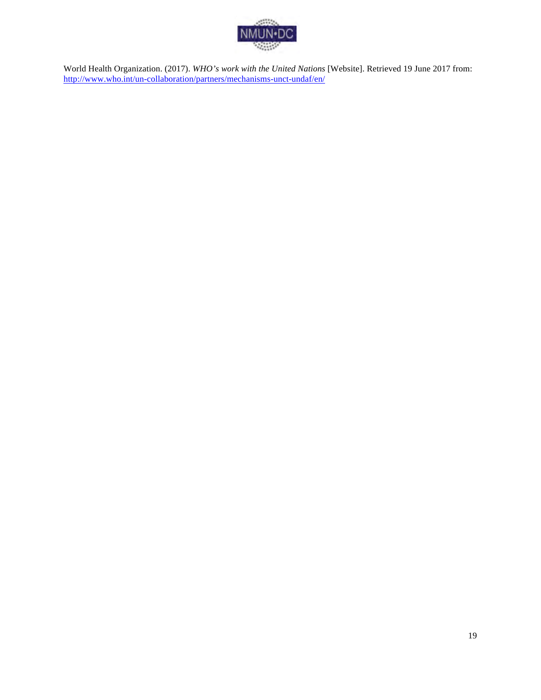

World Health Organization. (2017). *WHO's work with the United Nations* [Website]. Retrieved 19 June 2017 from: http://www.who.int/un-collaboration/partners/mechanisms-unct-undaf/en/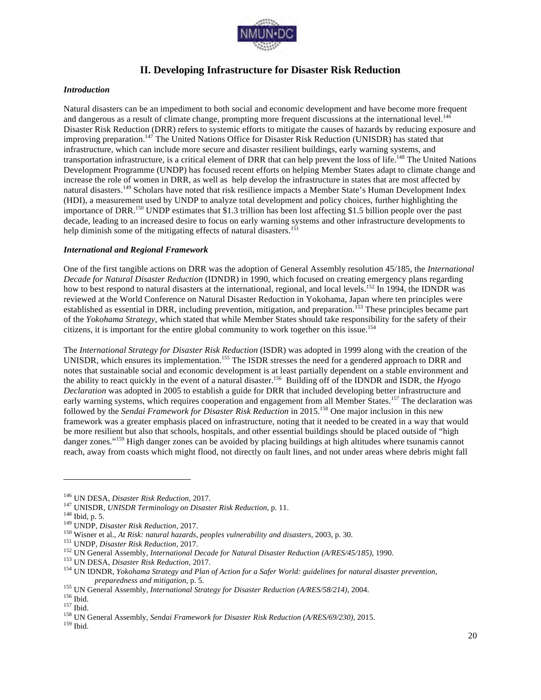

# **II. Developing Infrastructure for Disaster Risk Reduction**

#### *Introduction*

Natural disasters can be an impediment to both social and economic development and have become more frequent and dangerous as a result of climate change, prompting more frequent discussions at the international level.<sup>146</sup> Disaster Risk Reduction (DRR) refers to systemic efforts to mitigate the causes of hazards by reducing exposure and improving preparation.147 The United Nations Office for Disaster Risk Reduction (UNISDR) has stated that infrastructure, which can include more secure and disaster resilient buildings, early warning systems, and transportation infrastructure, is a critical element of DRR that can help prevent the loss of life.<sup>148</sup> The United Nations Development Programme (UNDP) has focused recent efforts on helping Member States adapt to climate change and increase the role of women in DRR, as well as help develop the infrastructure in states that are most affected by natural disasters.<sup>149</sup> Scholars have noted that risk resilience impacts a Member State's Human Development Index (HDI), a measurement used by UNDP to analyze total development and policy choices, further highlighting the importance of DRR.<sup>150</sup> UNDP estimates that \$1.3 trillion has been lost affecting \$1.5 billion people over the past decade, leading to an increased desire to focus on early warning systems and other infrastructure developments to help diminish some of the mitigating effects of natural disasters.<sup>151</sup>

#### *International and Regional Framework*

One of the first tangible actions on DRR was the adoption of General Assembly resolution 45/185, the *International Decade for Natural Disaster Reduction* (IDNDR) in 1990, which focused on creating emergency plans regarding how to best respond to natural disasters at the international, regional, and local levels.<sup>152</sup> In 1994, the IDNDR was reviewed at the World Conference on Natural Disaster Reduction in Yokohama, Japan where ten principles were established as essential in DRR, including prevention, mitigation, and preparation.<sup>153</sup> These principles became part of the *Yokohama Strategy*, which stated that while Member States should take responsibility for the safety of their citizens, it is important for the entire global community to work together on this issue.<sup>154</sup>

The *International Strategy for Disaster Risk Reduction* (ISDR) was adopted in 1999 along with the creation of the UNISDR, which ensures its implementation.<sup>155</sup> The ISDR stresses the need for a gendered approach to DRR and notes that sustainable social and economic development is at least partially dependent on a stable environment and the ability to react quickly in the event of a natural disaster.156 Building off of the IDNDR and ISDR, the *Hyogo Declaration* was adopted in 2005 to establish a guide for DRR that included developing better infrastructure and early warning systems, which requires cooperation and engagement from all Member States.<sup>157</sup> The declaration was followed by the *Sendai Framework for Disaster Risk Reduction* in 2015.<sup>158</sup> One major inclusion in this new framework was a greater emphasis placed on infrastructure, noting that it needed to be created in a way that would be more resilient but also that schools, hospitals, and other essential buildings should be placed outside of "high danger zones."<sup>159</sup> High danger zones can be avoided by placing buildings at high altitudes where tsunamis cannot reach, away from coasts which might flood, not directly on fault lines, and not under areas where debris might fall

<sup>&</sup>lt;sup>146</sup> UN DESA, *Disaster Risk Reduction*, 2017.<br><sup>147</sup> UNISDR, *UNISDR Terminology on Disaster Risk Reduction*, p. 11.<br><sup>148</sup> UNDP, *Disaster Risk Reduction*, 2017.<br><sup>149</sup> UNDP, *Disaster Risk Reduction*, 2017.<br><sup>150</sup> Wisner e

preparedness and mitigation, p. 5.<br>
<sup>155</sup> UN General Assembly, *International Strategy for Disaster Reduction (A/RES/58/214)*, 2004.<br>
<sup>156</sup> Ibid.<br>
<sup>157</sup> Ibid.<br>
<sup>157</sup> Ibid.<br>
<sup>158</sup> UN General Assembly, *Sendai Framework for*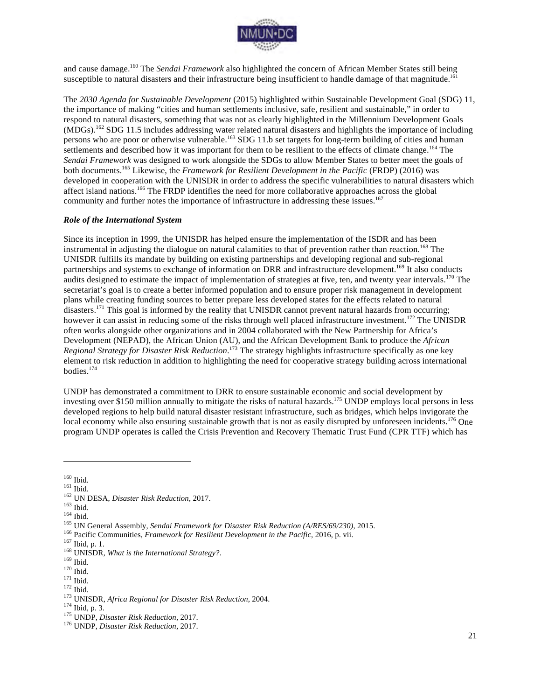

and cause damage.160 The *Sendai Framework* also highlighted the concern of African Member States still being susceptible to natural disasters and their infrastructure being insufficient to handle damage of that magnitude.<sup>161</sup>

The *2030 Agenda for Sustainable Development* (2015) highlighted within Sustainable Development Goal (SDG) 11, the importance of making "cities and human settlements inclusive, safe, resilient and sustainable," in order to respond to natural disasters, something that was not as clearly highlighted in the Millennium Development Goals  $(MDGs).$ <sup>162</sup> SDG 11.5 includes addressing water related natural disasters and highlights the importance of including persons who are poor or otherwise vulnerable.<sup>163</sup> SDG 11.b set targets for long-term building of cities and human settlements and described how it was important for them to be resilient to the effects of climate change.<sup>164</sup> The *Sendai Framework* was designed to work alongside the SDGs to allow Member States to better meet the goals of both documents.165 Likewise, the *Framework for Resilient Development in the Pacific* (FRDP) (2016) was developed in cooperation with the UNISDR in order to address the specific vulnerabilities to natural disasters which affect island nations.<sup>166</sup> The FRDP identifies the need for more collaborative approaches across the global community and further notes the importance of infrastructure in addressing these issues.<sup>167</sup>

#### *Role of the International System*

Since its inception in 1999, the UNISDR has helped ensure the implementation of the ISDR and has been instrumental in adjusting the dialogue on natural calamities to that of prevention rather than reaction.<sup>168</sup> The UNISDR fulfills its mandate by building on existing partnerships and developing regional and sub-regional partnerships and systems to exchange of information on DRR and infrastructure development.<sup>169</sup> It also conducts audits designed to estimate the impact of implementation of strategies at five, ten, and twenty year intervals.<sup>170</sup> The secretariat's goal is to create a better informed population and to ensure proper risk management in development plans while creating funding sources to better prepare less developed states for the effects related to natural disasters.<sup>171</sup> This goal is informed by the reality that UNISDR cannot prevent natural hazards from occurring; however it can assist in reducing some of the risks through well placed infrastructure investment.<sup>172</sup> The UNISDR often works alongside other organizations and in 2004 collaborated with the New Partnership for Africa's Development (NEPAD), the African Union (AU), and the African Development Bank to produce the *African Regional Strategy for Disaster Risk Reduction*. <sup>173</sup> The strategy highlights infrastructure specifically as one key element to risk reduction in addition to highlighting the need for cooperative strategy building across international bodies.174

UNDP has demonstrated a commitment to DRR to ensure sustainable economic and social development by investing over \$150 million annually to mitigate the risks of natural hazards.<sup>175</sup> UNDP employs local persons in less developed regions to help build natural disaster resistant infrastructure, such as bridges, which helps invigorate the local economy while also ensuring sustainable growth that is not as easily disrupted by unforeseen incidents.<sup>176</sup> One program UNDP operates is called the Crisis Prevention and Recovery Thematic Trust Fund (CPR TTF) which has

<sup>&</sup>lt;sup>160</sup> Ibid.<br><sup>162</sup> UN DESA, *Disaster Risk Reduction*, 2017.<br><sup>162</sup> UN DESA, *Disaster Risk Reduction*, 2017.<br><sup>164</sup> Ibid.<br><sup>164</sup> Ibid.<br><sup>164</sup> Pacific Communities, *Framework for Disaster Risk Reduction (A/RES/69/230)*, 2015.<br><sup></sup>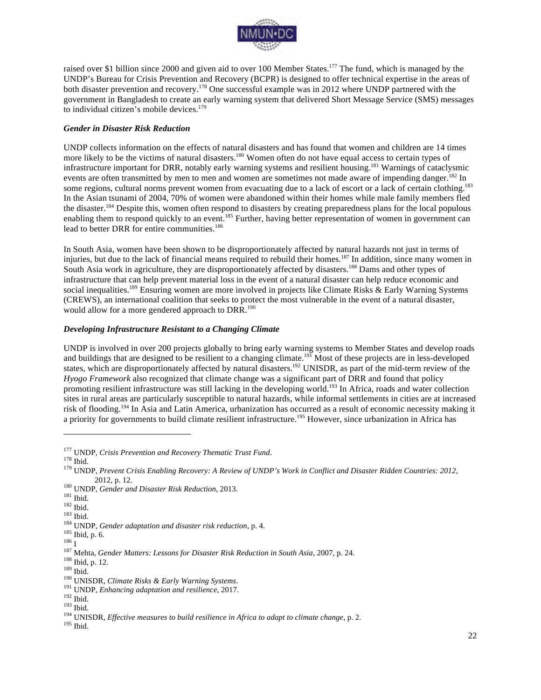

raised over \$1 billion since 2000 and given aid to over 100 Member States.<sup>177</sup> The fund, which is managed by the UNDP's Bureau for Crisis Prevention and Recovery (BCPR) is designed to offer technical expertise in the areas of both disaster prevention and recovery.<sup>178</sup> One successful example was in 2012 where UNDP partnered with the government in Bangladesh to create an early warning system that delivered Short Message Service (SMS) messages to individual citizen's mobile devices.<sup>179</sup>

#### *Gender in Disaster Risk Reduction*

UNDP collects information on the effects of natural disasters and has found that women and children are 14 times more likely to be the victims of natural disasters.<sup>180</sup> Women often do not have equal access to certain types of infrastructure important for DRR, notably early warning systems and resilient housing.<sup>181</sup> Warnings of cataclysmic events are often transmitted by men to men and women are sometimes not made aware of impending danger.<sup>182</sup> In some regions, cultural norms prevent women from evacuating due to a lack of escort or a lack of certain clothing.<sup>183</sup> In the Asian tsunami of 2004, 70% of women were abandoned within their homes while male family members fled the disaster.<sup>184</sup> Despite this, women often respond to disasters by creating preparedness plans for the local populous enabling them to respond quickly to an event.<sup>185</sup> Further, having better representation of women in government can lead to better DRR for entire communities.<sup>186</sup>

In South Asia, women have been shown to be disproportionately affected by natural hazards not just in terms of injuries, but due to the lack of financial means required to rebuild their homes.<sup>187</sup> In addition, since many women in South Asia work in agriculture, they are disproportionately affected by disasters.<sup>188</sup> Dams and other types of infrastructure that can help prevent material loss in the event of a natural disaster can help reduce economic and social inequalities.<sup>189</sup> Ensuring women are more involved in projects like Climate Risks & Early Warning Systems (CREWS), an international coalition that seeks to protect the most vulnerable in the event of a natural disaster, would allow for a more gendered approach to DRR.<sup>190</sup>

#### *Developing Infrastructure Resistant to a Changing Climate*

UNDP is involved in over 200 projects globally to bring early warning systems to Member States and develop roads and buildings that are designed to be resilient to a changing climate.<sup>191</sup> Most of these projects are in less-developed states, which are disproportionately affected by natural disasters.<sup>192</sup> UNISDR, as part of the mid-term review of the *Hyogo Framework* also recognized that climate change was a significant part of DRR and found that policy promoting resilient infrastructure was still lacking in the developing world.<sup>193</sup> In Africa, roads and water collection sites in rural areas are particularly susceptible to natural hazards, while informal settlements in cities are at increased risk of flooding.<sup>194</sup> In Asia and Latin America, urbanization has occurred as a result of economic necessity making it a priority for governments to build climate resilient infrastructure.<sup>195</sup> However, since urbanization in Africa has

<sup>&</sup>lt;sup>177</sup> UNDP, *Crisis Prevention and Recovery Thematic Trust Fund.* 178 Ibid. 178 Ibid. 178 Ibid. 179 UNDP, *Prevent Crisis Enabling Recovery: A Review of UNDP's Work in Conflict and Disaster Ridden Countries: 2012*,

<sup>2012,</sup> p. 12.<br><sup>180</sup> UNDP, *Gender and Disaster Risk Reduction*, 2013.<br><sup>181</sup> Ibid.<br><sup>182</sup> Ibid.<br><sup>183</sup> Ibid.<br><sup>184</sup> UNDP, *Gender adaptation and disaster risk reduction*, p. 4.<br><sup>185</sup> Ibid, p. 6.<br><sup>187</sup> Mehta, *Gender Matters: Le*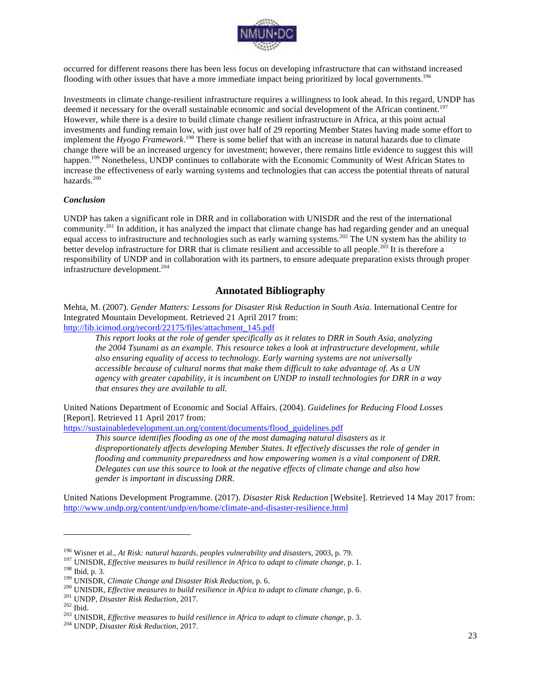

occurred for different reasons there has been less focus on developing infrastructure that can withstand increased flooding with other issues that have a more immediate impact being prioritized by local governments.<sup>196</sup>

Investments in climate change-resilient infrastructure requires a willingness to look ahead. In this regard, UNDP has deemed it necessary for the overall sustainable economic and social development of the African continent.<sup>197</sup> However, while there is a desire to build climate change resilient infrastructure in Africa, at this point actual investments and funding remain low, with just over half of 29 reporting Member States having made some effort to implement the *Hyogo Framework*. <sup>198</sup> There is some belief that with an increase in natural hazards due to climate change there will be an increased urgency for investment; however, there remains little evidence to suggest this will happen.<sup>199</sup> Nonetheless, UNDP continues to collaborate with the Economic Community of West African States to increase the effectiveness of early warning systems and technologies that can access the potential threats of natural hazards.<sup>200</sup>

#### *Conclusion*

UNDP has taken a significant role in DRR and in collaboration with UNISDR and the rest of the international community.<sup>201</sup> In addition, it has analyzed the impact that climate change has had regarding gender and an unequal equal access to infrastructure and technologies such as early warning systems.<sup>202</sup> The UN system has the ability to better develop infrastructure for DRR that is climate resilient and accessible to all people.<sup>203</sup> It is therefore a responsibility of UNDP and in collaboration with its partners, to ensure adequate preparation exists through proper infrastructure development.<sup>204</sup>

### **Annotated Bibliography**

Mehta, M. (2007). *Gender Matters: Lessons for Disaster Risk Reduction in South Asia*. International Centre for Integrated Mountain Development. Retrieved 21 April 2017 from:

http://lib.icimod.org/record/22175/files/attachment\_145.pdf

*This report looks at the role of gender specifically as it relates to DRR in South Asia, analyzing the 2004 Tsunami as an example. This resource takes a look at infrastructure development, while also ensuring equality of access to technology. Early warning systems are not universally accessible because of cultural norms that make them difficult to take advantage of. As a UN agency with greater capability, it is incumbent on UNDP to install technologies for DRR in a way that ensures they are available to all.*

United Nations Department of Economic and Social Affairs. (2004). *Guidelines for Reducing Flood Losses* [Report]. Retrieved 11 April 2017 from:

https://sustainabledevelopment.un.org/content/documents/flood\_guidelines.pdf

*This source identifies flooding as one of the most damaging natural disasters as it disproportionately affects developing Member States. It effectively discusses the role of gender in flooding and community preparedness and how empowering women is a vital component of DRR. Delegates can use this source to look at the negative effects of climate change and also how gender is important in discussing DRR.*

United Nations Development Programme. (2017). *Disaster Risk Reduction* [Website]. Retrieved 14 May 2017 from: http://www.undp.org/content/undp/en/home/climate-and-disaster-resilience.html

<sup>&</sup>lt;sup>196</sup> Wisner et al., *At Risk: natural hazards, peoples vulnerability and disasters*, 2003, p. 79.<br><sup>197</sup> UNISDR, *Effective measures to build resilience in Africa to adapt to climate change*, p. 1.<br><sup>198</sup> UNISDR, *Climate*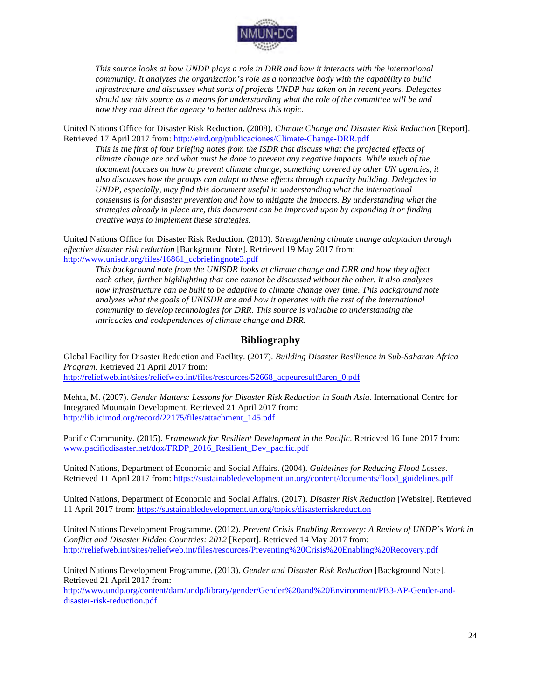

*This source looks at how UNDP plays a role in DRR and how it interacts with the international community. It analyzes the organization's role as a normative body with the capability to build infrastructure and discusses what sorts of projects UNDP has taken on in recent years. Delegates should use this source as a means for understanding what the role of the committee will be and how they can direct the agency to better address this topic.*

United Nations Office for Disaster Risk Reduction. (2008). *Climate Change and Disaster Risk Reduction* [Report]. Retrieved 17 April 2017 from: http://eird.org/publicaciones/Climate-Change-DRR.pdf

*This is the first of four briefing notes from the ISDR that discuss what the projected effects of climate change are and what must be done to prevent any negative impacts. While much of the document focuses on how to prevent climate change, something covered by other UN agencies, it also discusses how the groups can adapt to these effects through capacity building. Delegates in UNDP, especially, may find this document useful in understanding what the international consensus is for disaster prevention and how to mitigate the impacts. By understanding what the strategies already in place are, this document can be improved upon by expanding it or finding creative ways to implement these strategies.*

United Nations Office for Disaster Risk Reduction. (2010). S*trengthening climate change adaptation through effective disaster risk reduction* [Background Note]. Retrieved 19 May 2017 from: http://www.unisdr.org/files/16861\_ccbriefingnote3.pdf

*This background note from the UNISDR looks at climate change and DRR and how they affect each other, further highlighting that one cannot be discussed without the other. It also analyzes how infrastructure can be built to be adaptive to climate change over time. This background note analyzes what the goals of UNISDR are and how it operates with the rest of the international community to develop technologies for DRR. This source is valuable to understanding the intricacies and codependences of climate change and DRR.* 

# **Bibliography**

Global Facility for Disaster Reduction and Facility. (2017). *Building Disaster Resilience in Sub-Saharan Africa Program*. Retrieved 21 April 2017 from: http://reliefweb.int/sites/reliefweb.int/files/resources/52668\_acpeuresult2aren\_0.pdf

Mehta, M. (2007). *Gender Matters: Lessons for Disaster Risk Reduction in South Asia*. International Centre for Integrated Mountain Development. Retrieved 21 April 2017 from: http://lib.icimod.org/record/22175/files/attachment\_145.pdf

Pacific Community. (2015). *Framework for Resilient Development in the Pacific*. Retrieved 16 June 2017 from: www.pacificdisaster.net/dox/FRDP\_2016\_Resilient\_Dev\_pacific.pdf

United Nations, Department of Economic and Social Affairs. (2004). *Guidelines for Reducing Flood Losses*. Retrieved 11 April 2017 from: https://sustainabledevelopment.un.org/content/documents/flood\_guidelines.pdf

United Nations, Department of Economic and Social Affairs. (2017). *Disaster Risk Reduction* [Website]. Retrieved 11 April 2017 from: https://sustainabledevelopment.un.org/topics/disasterriskreduction

United Nations Development Programme. (2012). *Prevent Crisis Enabling Recovery: A Review of UNDP's Work in Conflict and Disaster Ridden Countries: 2012* [Report]. Retrieved 14 May 2017 from: http://reliefweb.int/sites/reliefweb.int/files/resources/Preventing%20Crisis%20Enabling%20Recovery.pdf

United Nations Development Programme. (2013). *Gender and Disaster Risk Reduction* [Background Note]. Retrieved 21 April 2017 from:

http://www.undp.org/content/dam/undp/library/gender/Gender%20and%20Environment/PB3-AP-Gender-anddisaster-risk-reduction.pdf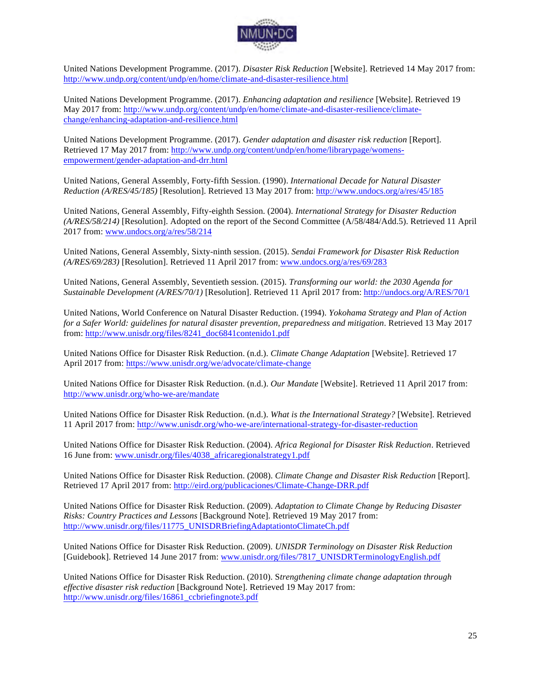

United Nations Development Programme. (2017). *Disaster Risk Reduction* [Website]. Retrieved 14 May 2017 from: http://www.undp.org/content/undp/en/home/climate-and-disaster-resilience.html

United Nations Development Programme. (2017). *Enhancing adaptation and resilience* [Website]. Retrieved 19 May 2017 from: http://www.undp.org/content/undp/en/home/climate-and-disaster-resilience/climatechange/enhancing-adaptation-and-resilience.html

United Nations Development Programme. (2017). *Gender adaptation and disaster risk reduction* [Report]. Retrieved 17 May 2017 from: http://www.undp.org/content/undp/en/home/librarypage/womensempowerment/gender-adaptation-and-drr.html

United Nations, General Assembly, Forty-fifth Session. (1990). *International Decade for Natural Disaster Reduction (A/RES/45/185)* [Resolution]. Retrieved 13 May 2017 from: http://www.undocs.org/a/res/45/185

United Nations, General Assembly, Fifty-eighth Session. (2004). *International Strategy for Disaster Reduction (A/RES/58/214)* [Resolution]. Adopted on the report of the Second Committee (A/58/484/Add.5). Retrieved 11 April 2017 from: www.undocs.org/a/res/58/214

United Nations, General Assembly, Sixty-ninth session. (2015). *Sendai Framework for Disaster Risk Reduction (A/RES/69/283)* [Resolution]. Retrieved 11 April 2017 from: www.undocs.org/a/res/69/283

United Nations, General Assembly, Seventieth session. (2015). *Transforming our world: the 2030 Agenda for Sustainable Development (A/RES/70/1)* [Resolution]. Retrieved 11 April 2017 from: http://undocs.org/A/RES/70/1

United Nations, World Conference on Natural Disaster Reduction. (1994). *Yokohama Strategy and Plan of Action for a Safer World: guidelines for natural disaster prevention, preparedness and mitigation*. Retrieved 13 May 2017 from: http://www.unisdr.org/files/8241\_doc6841contenido1.pdf

United Nations Office for Disaster Risk Reduction. (n.d.). *Climate Change Adaptation* [Website]. Retrieved 17 April 2017 from: https://www.unisdr.org/we/advocate/climate-change

United Nations Office for Disaster Risk Reduction. (n.d.). *Our Mandate* [Website]. Retrieved 11 April 2017 from: http://www.unisdr.org/who-we-are/mandate

United Nations Office for Disaster Risk Reduction. (n.d.). *What is the International Strategy?* [Website]. Retrieved 11 April 2017 from: http://www.unisdr.org/who-we-are/international-strategy-for-disaster-reduction

United Nations Office for Disaster Risk Reduction. (2004). *Africa Regional for Disaster Risk Reduction*. Retrieved 16 June from: www.unisdr.org/files/4038\_africaregionalstrategy1.pdf

United Nations Office for Disaster Risk Reduction. (2008). *Climate Change and Disaster Risk Reduction* [Report]. Retrieved 17 April 2017 from: http://eird.org/publicaciones/Climate-Change-DRR.pdf

United Nations Office for Disaster Risk Reduction. (2009). *Adaptation to Climate Change by Reducing Disaster Risks: Country Practices and Lessons* [Background Note]. Retrieved 19 May 2017 from: http://www.unisdr.org/files/11775\_UNISDRBriefingAdaptationtoClimateCh.pdf

United Nations Office for Disaster Risk Reduction. (2009). *UNISDR Terminology on Disaster Risk Reduction* [Guidebook]. Retrieved 14 June 2017 from: www.unisdr.org/files/7817\_UNISDRTerminologyEnglish.pdf

United Nations Office for Disaster Risk Reduction. (2010). S*trengthening climate change adaptation through effective disaster risk reduction* [Background Note]. Retrieved 19 May 2017 from: http://www.unisdr.org/files/16861\_ccbriefingnote3.pdf